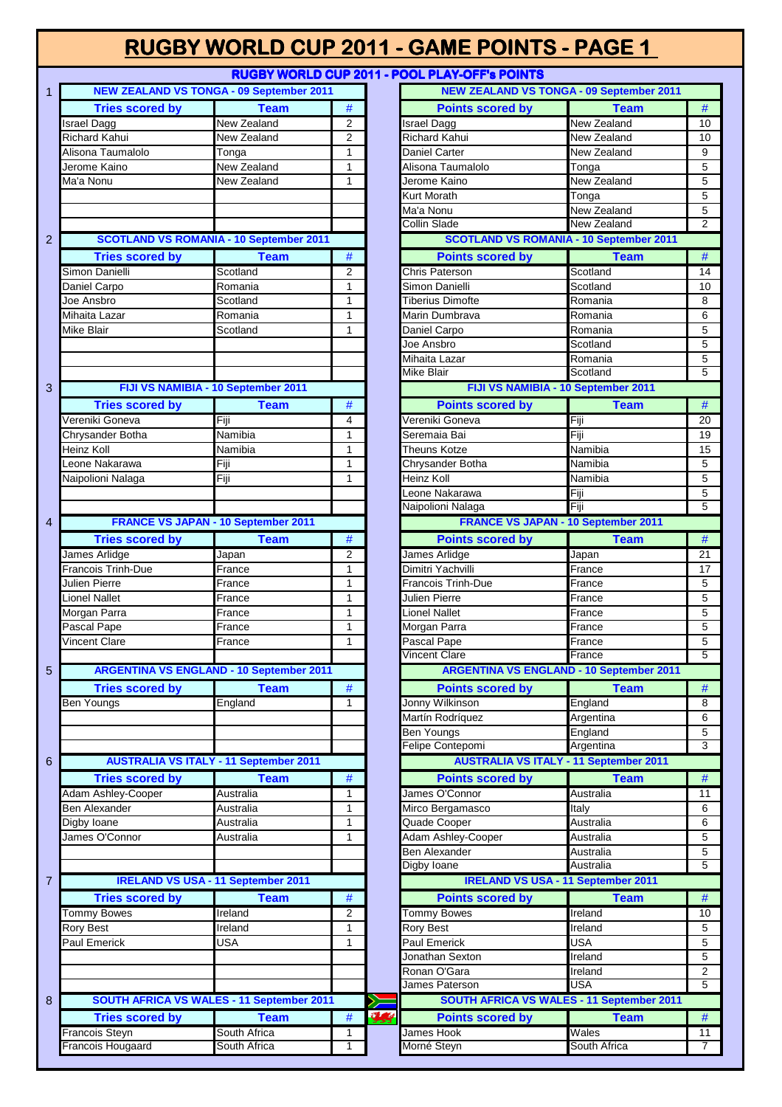| <b>RUGBY WORLD CUP 2011 - POOL PLAY-OFF's POINTS</b>                                               |  |  |  |  |  |  |  |  |  |
|----------------------------------------------------------------------------------------------------|--|--|--|--|--|--|--|--|--|
| <b>NEW ZEALAND VS TONGA - 09 September 2011</b><br><b>NEW ZEALAND VS TONGA - 09 September 2011</b> |  |  |  |  |  |  |  |  |  |
| <b>Tries scored by</b><br><b>Points scored by</b><br><b>Team</b><br>$T$ eam                        |  |  |  |  |  |  |  |  |  |

| New Zealand<br>$\overline{2}$<br>New Zealand<br><b>Israel Dagg</b><br><b>Israel Dagg</b><br>Richard Kahui<br>$\overline{2}$<br>Richard Kahui<br>New Zealand<br>New Zealand<br>Alisona Taumalolo<br><b>New Zealand</b><br>$\mathbf{1}$<br><b>Daniel Carter</b><br>Tonga<br><b>New Zealand</b><br>$\mathbf{1}$<br>Alisona Taumalolo<br>Jerome Kaino<br>Tonga<br>Ma'a Nonu<br>New Zealand<br>$\mathbf{1}$<br>Jerome Kaino<br>New Zealand<br>Kurt Morath<br>$\overline{T}$ onga<br><b>New Zealand</b><br>Ma'a Nonu<br>New Zealand<br>Collin Slade<br><b>SCOTLAND VS ROMANIA - 10 September 2011</b><br><b>SCOTLAND VS ROMANIA - 10 September 2011</b><br>$\overline{2}$<br>$\#$<br><b>Tries scored by</b><br><b>Points scored by</b><br><b>Team</b><br>Simon Danielli<br>Scotland<br>$\overline{2}$<br><b>Chris Paterson</b><br>Scotland<br>$\mathbf{1}$<br>Simon Danielli<br>Scotland<br>Daniel Carpo<br>Romania<br>$\mathbf{1}$<br>Joe Ansbro<br>Scotland<br><b>Tiberius Dimofte</b><br>Romania<br>$\mathbf{1}$<br>Mihaita Lazar<br>Romania<br>Marin Dumbrava<br>Romania<br>$\mathbf{1}$<br>Daniel Carpo<br>Mike Blair<br>Scotland<br>Romania<br>Joe Ansbro<br>Scotland<br>Mihaita Lazar<br>Romania<br><b>Mike Blair</b><br>Scotland<br>FIJI VS NAMIBIA - 10 September 2011<br>FIJI VS NAMIBIA - 10 September 2011<br>3<br><b>Tries scored by</b><br><b>Team</b><br>$\#$<br><b>Points scored by</b><br>Vereniki Goneva<br>Vereniki Goneva<br>Fiji<br>$\overline{4}$<br>Fiji<br>Namibia<br>Fiji<br>$\mathbf{1}$<br>Chrysander Botha<br>Seremaia Bai<br>$\mathbf{1}$<br>Namibia<br>Heinz Koll<br>Namibia<br>Theuns Kotze<br>Leone Nakarawa<br>Fiji<br>$\mathbf{1}$<br>Namibia<br>Chrysander Botha<br>Fiji<br>Heinz Koll<br>$\mathbf{1}$<br>Namibia<br>Naipolioni Nalaga<br>Leone Nakarawa<br>Fiji<br>Fiji<br>Naipolioni Nalaga<br><b>FRANCE VS JAPAN - 10 September 2011</b><br><b>FRANCE VS JAPAN - 10 September 2011</b><br>4<br>#<br><b>Team</b><br><b>Tries scored by</b><br><b>Team</b><br><b>Points scored by</b><br>James Arlidge<br>James Arlidge<br>$\overline{2}$<br>Japan<br>Japan<br><b>Francois Trinh-Due</b><br>Dimitri Yachvilli<br>$\mathbf{1}$<br>France<br>France<br>$\mathbf{1}$<br>Julien Pierre<br>Francois Trinh-Due<br>France<br>France<br>Lionel Nallet<br>$\mathbf{1}$<br>Julien Pierre<br>France<br>France<br>$\mathbf{1}$<br>Morgan Parra<br><b>Lionel Nallet</b><br>France<br>France<br>Pascal Pape<br>$\mathbf{1}$<br>Morgan Parra<br>France<br>France<br>Pascal Pape<br>France<br>Vincent Clare<br>$\mathbf{1}$<br>France<br>Vincent Clare<br>France<br><b>ARGENTINA VS ENGLAND - 10 September 2011</b><br><b>ARGENTINA VS ENGLAND - 10 September 2011</b><br>5<br>$\#$<br><b>Tries scored by</b><br><b>Team</b><br><b>Points scored by</b><br><b>Team</b><br>Ben Youngs<br>England<br>1<br>Jonny Wilkinson<br>England<br>Martín Rodríguez<br>Argentina<br>England<br>Ben Youngs<br>Felipe Contepomi<br>Argentina<br><b>AUSTRALIA VS ITALY - 11 September 2011</b><br><b>AUSTRALIA VS ITALY - 11 September 2011</b><br>6<br>$\#$<br><b>Tries scored by</b><br><b>Points scored by</b><br><b>Team</b><br>Adam Ashley-Cooper<br>James O'Connor<br>Australia<br>Australia<br>1<br>$\mathbf{1}$<br><b>Ben Alexander</b><br>Mirco Bergamasco<br>Italy<br>Australia<br>Quade Cooper<br>Australia<br>Australia<br>$\mathbf{1}$<br>Digby Ioane<br>James O'Connor<br><b>Adam Ashley-Cooper</b><br>Australia<br>$\mathbf{1}$<br>Australia<br><b>Ben Alexander</b><br>Australia<br>Digby Ioane<br>Australia<br><b>IRELAND VS USA - 11 September 2011</b><br><b>IRELAND VS USA - 11 September 2011</b><br>$\overline{7}$<br>$\#$<br><b>Points scored by</b><br><b>Tries scored by</b><br><b>Team</b><br>$\overline{2}$<br><b>Tommy Bowes</b><br><b>Tommy Bowes</b><br>Ireland<br>Ireland<br>$\mathbf{1}$<br><b>Rory Best</b><br>Rory Best<br>Ireland<br>Ireland<br>$\mathbf{1}$<br>Paul Emerick<br><b>USA</b><br>Paul Emerick<br><b>USA</b><br><b>Ireland</b><br>Jonathan Sexton<br>Ronan O'Gara<br>Ireland<br>USA<br>James Paterson<br>SOUTH AFRICA VS WALES - 11 September 2011<br>SOUTH AFRICA VS WALES - 11 September 2011<br>8<br>奖<br>$\#$<br><b>Tries scored by</b><br><b>Team</b><br><b>Points scored by</b><br><b>Team</b><br>South Africa<br>James Hook<br>Francois Steyn<br>Wales<br>$\mathbf{1}$<br>Francois Hougaard<br>$\overline{1}$<br>South Africa<br>South Africa<br>Morné Steyn | <b>THES SCOTED DY</b> | <u>i ealli</u> | $^{\rm \texttt{H}}$ | <b>PUTTIS SCUTTLE DY</b> | Team        | $^{\#}$         |
|------------------------------------------------------------------------------------------------------------------------------------------------------------------------------------------------------------------------------------------------------------------------------------------------------------------------------------------------------------------------------------------------------------------------------------------------------------------------------------------------------------------------------------------------------------------------------------------------------------------------------------------------------------------------------------------------------------------------------------------------------------------------------------------------------------------------------------------------------------------------------------------------------------------------------------------------------------------------------------------------------------------------------------------------------------------------------------------------------------------------------------------------------------------------------------------------------------------------------------------------------------------------------------------------------------------------------------------------------------------------------------------------------------------------------------------------------------------------------------------------------------------------------------------------------------------------------------------------------------------------------------------------------------------------------------------------------------------------------------------------------------------------------------------------------------------------------------------------------------------------------------------------------------------------------------------------------------------------------------------------------------------------------------------------------------------------------------------------------------------------------------------------------------------------------------------------------------------------------------------------------------------------------------------------------------------------------------------------------------------------------------------------------------------------------------------------------------------------------------------------------------------------------------------------------------------------------------------------------------------------------------------------------------------------------------------------------------------------------------------------------------------------------------------------------------------------------------------------------------------------------------------------------------------------------------------------------------------------------------------------------------------------------------------------------------------------------------------------------------------------------------------------------------------------------------------------------------------------------------------------------------------------------------------------------------------------------------------------------------------------------------------------------------------------------------------------------------------------------------------------------------------------------------------------------------------------------------------------------------------------------------------------------------------------------------------------------------------------------------------------------------------------------------------------------------------------------------------------------------------------------------------------------------------------------------------------------------------------------------------------------------------------------------------------------------------------------------------------------------------------------------------------------------------------------------------------------------------------------------------------------------------------------------------------------------------------------------------------------------------------------------------------------------------|-----------------------|----------------|---------------------|--------------------------|-------------|-----------------|
|                                                                                                                                                                                                                                                                                                                                                                                                                                                                                                                                                                                                                                                                                                                                                                                                                                                                                                                                                                                                                                                                                                                                                                                                                                                                                                                                                                                                                                                                                                                                                                                                                                                                                                                                                                                                                                                                                                                                                                                                                                                                                                                                                                                                                                                                                                                                                                                                                                                                                                                                                                                                                                                                                                                                                                                                                                                                                                                                                                                                                                                                                                                                                                                                                                                                                                                                                                                                                                                                                                                                                                                                                                                                                                                                                                                                                                                                                                                                                                                                                                                                                                                                                                                                                                                                                                                                                                                                                  |                       |                |                     |                          |             | 10              |
|                                                                                                                                                                                                                                                                                                                                                                                                                                                                                                                                                                                                                                                                                                                                                                                                                                                                                                                                                                                                                                                                                                                                                                                                                                                                                                                                                                                                                                                                                                                                                                                                                                                                                                                                                                                                                                                                                                                                                                                                                                                                                                                                                                                                                                                                                                                                                                                                                                                                                                                                                                                                                                                                                                                                                                                                                                                                                                                                                                                                                                                                                                                                                                                                                                                                                                                                                                                                                                                                                                                                                                                                                                                                                                                                                                                                                                                                                                                                                                                                                                                                                                                                                                                                                                                                                                                                                                                                                  |                       |                |                     |                          |             | 10              |
|                                                                                                                                                                                                                                                                                                                                                                                                                                                                                                                                                                                                                                                                                                                                                                                                                                                                                                                                                                                                                                                                                                                                                                                                                                                                                                                                                                                                                                                                                                                                                                                                                                                                                                                                                                                                                                                                                                                                                                                                                                                                                                                                                                                                                                                                                                                                                                                                                                                                                                                                                                                                                                                                                                                                                                                                                                                                                                                                                                                                                                                                                                                                                                                                                                                                                                                                                                                                                                                                                                                                                                                                                                                                                                                                                                                                                                                                                                                                                                                                                                                                                                                                                                                                                                                                                                                                                                                                                  |                       |                |                     |                          |             | 9               |
|                                                                                                                                                                                                                                                                                                                                                                                                                                                                                                                                                                                                                                                                                                                                                                                                                                                                                                                                                                                                                                                                                                                                                                                                                                                                                                                                                                                                                                                                                                                                                                                                                                                                                                                                                                                                                                                                                                                                                                                                                                                                                                                                                                                                                                                                                                                                                                                                                                                                                                                                                                                                                                                                                                                                                                                                                                                                                                                                                                                                                                                                                                                                                                                                                                                                                                                                                                                                                                                                                                                                                                                                                                                                                                                                                                                                                                                                                                                                                                                                                                                                                                                                                                                                                                                                                                                                                                                                                  |                       |                |                     |                          |             | $\overline{5}$  |
|                                                                                                                                                                                                                                                                                                                                                                                                                                                                                                                                                                                                                                                                                                                                                                                                                                                                                                                                                                                                                                                                                                                                                                                                                                                                                                                                                                                                                                                                                                                                                                                                                                                                                                                                                                                                                                                                                                                                                                                                                                                                                                                                                                                                                                                                                                                                                                                                                                                                                                                                                                                                                                                                                                                                                                                                                                                                                                                                                                                                                                                                                                                                                                                                                                                                                                                                                                                                                                                                                                                                                                                                                                                                                                                                                                                                                                                                                                                                                                                                                                                                                                                                                                                                                                                                                                                                                                                                                  |                       |                |                     |                          |             | 5               |
|                                                                                                                                                                                                                                                                                                                                                                                                                                                                                                                                                                                                                                                                                                                                                                                                                                                                                                                                                                                                                                                                                                                                                                                                                                                                                                                                                                                                                                                                                                                                                                                                                                                                                                                                                                                                                                                                                                                                                                                                                                                                                                                                                                                                                                                                                                                                                                                                                                                                                                                                                                                                                                                                                                                                                                                                                                                                                                                                                                                                                                                                                                                                                                                                                                                                                                                                                                                                                                                                                                                                                                                                                                                                                                                                                                                                                                                                                                                                                                                                                                                                                                                                                                                                                                                                                                                                                                                                                  |                       |                |                     |                          |             | $\overline{5}$  |
|                                                                                                                                                                                                                                                                                                                                                                                                                                                                                                                                                                                                                                                                                                                                                                                                                                                                                                                                                                                                                                                                                                                                                                                                                                                                                                                                                                                                                                                                                                                                                                                                                                                                                                                                                                                                                                                                                                                                                                                                                                                                                                                                                                                                                                                                                                                                                                                                                                                                                                                                                                                                                                                                                                                                                                                                                                                                                                                                                                                                                                                                                                                                                                                                                                                                                                                                                                                                                                                                                                                                                                                                                                                                                                                                                                                                                                                                                                                                                                                                                                                                                                                                                                                                                                                                                                                                                                                                                  |                       |                |                     |                          |             |                 |
|                                                                                                                                                                                                                                                                                                                                                                                                                                                                                                                                                                                                                                                                                                                                                                                                                                                                                                                                                                                                                                                                                                                                                                                                                                                                                                                                                                                                                                                                                                                                                                                                                                                                                                                                                                                                                                                                                                                                                                                                                                                                                                                                                                                                                                                                                                                                                                                                                                                                                                                                                                                                                                                                                                                                                                                                                                                                                                                                                                                                                                                                                                                                                                                                                                                                                                                                                                                                                                                                                                                                                                                                                                                                                                                                                                                                                                                                                                                                                                                                                                                                                                                                                                                                                                                                                                                                                                                                                  |                       |                |                     |                          |             | $\overline{5}$  |
|                                                                                                                                                                                                                                                                                                                                                                                                                                                                                                                                                                                                                                                                                                                                                                                                                                                                                                                                                                                                                                                                                                                                                                                                                                                                                                                                                                                                                                                                                                                                                                                                                                                                                                                                                                                                                                                                                                                                                                                                                                                                                                                                                                                                                                                                                                                                                                                                                                                                                                                                                                                                                                                                                                                                                                                                                                                                                                                                                                                                                                                                                                                                                                                                                                                                                                                                                                                                                                                                                                                                                                                                                                                                                                                                                                                                                                                                                                                                                                                                                                                                                                                                                                                                                                                                                                                                                                                                                  |                       |                |                     |                          |             | $\overline{2}$  |
|                                                                                                                                                                                                                                                                                                                                                                                                                                                                                                                                                                                                                                                                                                                                                                                                                                                                                                                                                                                                                                                                                                                                                                                                                                                                                                                                                                                                                                                                                                                                                                                                                                                                                                                                                                                                                                                                                                                                                                                                                                                                                                                                                                                                                                                                                                                                                                                                                                                                                                                                                                                                                                                                                                                                                                                                                                                                                                                                                                                                                                                                                                                                                                                                                                                                                                                                                                                                                                                                                                                                                                                                                                                                                                                                                                                                                                                                                                                                                                                                                                                                                                                                                                                                                                                                                                                                                                                                                  |                       |                |                     |                          |             |                 |
|                                                                                                                                                                                                                                                                                                                                                                                                                                                                                                                                                                                                                                                                                                                                                                                                                                                                                                                                                                                                                                                                                                                                                                                                                                                                                                                                                                                                                                                                                                                                                                                                                                                                                                                                                                                                                                                                                                                                                                                                                                                                                                                                                                                                                                                                                                                                                                                                                                                                                                                                                                                                                                                                                                                                                                                                                                                                                                                                                                                                                                                                                                                                                                                                                                                                                                                                                                                                                                                                                                                                                                                                                                                                                                                                                                                                                                                                                                                                                                                                                                                                                                                                                                                                                                                                                                                                                                                                                  |                       |                |                     |                          | <b>Team</b> | $\#$            |
|                                                                                                                                                                                                                                                                                                                                                                                                                                                                                                                                                                                                                                                                                                                                                                                                                                                                                                                                                                                                                                                                                                                                                                                                                                                                                                                                                                                                                                                                                                                                                                                                                                                                                                                                                                                                                                                                                                                                                                                                                                                                                                                                                                                                                                                                                                                                                                                                                                                                                                                                                                                                                                                                                                                                                                                                                                                                                                                                                                                                                                                                                                                                                                                                                                                                                                                                                                                                                                                                                                                                                                                                                                                                                                                                                                                                                                                                                                                                                                                                                                                                                                                                                                                                                                                                                                                                                                                                                  |                       |                |                     |                          |             | 14              |
|                                                                                                                                                                                                                                                                                                                                                                                                                                                                                                                                                                                                                                                                                                                                                                                                                                                                                                                                                                                                                                                                                                                                                                                                                                                                                                                                                                                                                                                                                                                                                                                                                                                                                                                                                                                                                                                                                                                                                                                                                                                                                                                                                                                                                                                                                                                                                                                                                                                                                                                                                                                                                                                                                                                                                                                                                                                                                                                                                                                                                                                                                                                                                                                                                                                                                                                                                                                                                                                                                                                                                                                                                                                                                                                                                                                                                                                                                                                                                                                                                                                                                                                                                                                                                                                                                                                                                                                                                  |                       |                |                     |                          |             | 10              |
|                                                                                                                                                                                                                                                                                                                                                                                                                                                                                                                                                                                                                                                                                                                                                                                                                                                                                                                                                                                                                                                                                                                                                                                                                                                                                                                                                                                                                                                                                                                                                                                                                                                                                                                                                                                                                                                                                                                                                                                                                                                                                                                                                                                                                                                                                                                                                                                                                                                                                                                                                                                                                                                                                                                                                                                                                                                                                                                                                                                                                                                                                                                                                                                                                                                                                                                                                                                                                                                                                                                                                                                                                                                                                                                                                                                                                                                                                                                                                                                                                                                                                                                                                                                                                                                                                                                                                                                                                  |                       |                |                     |                          |             | 8               |
|                                                                                                                                                                                                                                                                                                                                                                                                                                                                                                                                                                                                                                                                                                                                                                                                                                                                                                                                                                                                                                                                                                                                                                                                                                                                                                                                                                                                                                                                                                                                                                                                                                                                                                                                                                                                                                                                                                                                                                                                                                                                                                                                                                                                                                                                                                                                                                                                                                                                                                                                                                                                                                                                                                                                                                                                                                                                                                                                                                                                                                                                                                                                                                                                                                                                                                                                                                                                                                                                                                                                                                                                                                                                                                                                                                                                                                                                                                                                                                                                                                                                                                                                                                                                                                                                                                                                                                                                                  |                       |                |                     |                          |             | 6               |
|                                                                                                                                                                                                                                                                                                                                                                                                                                                                                                                                                                                                                                                                                                                                                                                                                                                                                                                                                                                                                                                                                                                                                                                                                                                                                                                                                                                                                                                                                                                                                                                                                                                                                                                                                                                                                                                                                                                                                                                                                                                                                                                                                                                                                                                                                                                                                                                                                                                                                                                                                                                                                                                                                                                                                                                                                                                                                                                                                                                                                                                                                                                                                                                                                                                                                                                                                                                                                                                                                                                                                                                                                                                                                                                                                                                                                                                                                                                                                                                                                                                                                                                                                                                                                                                                                                                                                                                                                  |                       |                |                     |                          |             | 5               |
|                                                                                                                                                                                                                                                                                                                                                                                                                                                                                                                                                                                                                                                                                                                                                                                                                                                                                                                                                                                                                                                                                                                                                                                                                                                                                                                                                                                                                                                                                                                                                                                                                                                                                                                                                                                                                                                                                                                                                                                                                                                                                                                                                                                                                                                                                                                                                                                                                                                                                                                                                                                                                                                                                                                                                                                                                                                                                                                                                                                                                                                                                                                                                                                                                                                                                                                                                                                                                                                                                                                                                                                                                                                                                                                                                                                                                                                                                                                                                                                                                                                                                                                                                                                                                                                                                                                                                                                                                  |                       |                |                     |                          |             | $\overline{5}$  |
|                                                                                                                                                                                                                                                                                                                                                                                                                                                                                                                                                                                                                                                                                                                                                                                                                                                                                                                                                                                                                                                                                                                                                                                                                                                                                                                                                                                                                                                                                                                                                                                                                                                                                                                                                                                                                                                                                                                                                                                                                                                                                                                                                                                                                                                                                                                                                                                                                                                                                                                                                                                                                                                                                                                                                                                                                                                                                                                                                                                                                                                                                                                                                                                                                                                                                                                                                                                                                                                                                                                                                                                                                                                                                                                                                                                                                                                                                                                                                                                                                                                                                                                                                                                                                                                                                                                                                                                                                  |                       |                |                     |                          |             |                 |
|                                                                                                                                                                                                                                                                                                                                                                                                                                                                                                                                                                                                                                                                                                                                                                                                                                                                                                                                                                                                                                                                                                                                                                                                                                                                                                                                                                                                                                                                                                                                                                                                                                                                                                                                                                                                                                                                                                                                                                                                                                                                                                                                                                                                                                                                                                                                                                                                                                                                                                                                                                                                                                                                                                                                                                                                                                                                                                                                                                                                                                                                                                                                                                                                                                                                                                                                                                                                                                                                                                                                                                                                                                                                                                                                                                                                                                                                                                                                                                                                                                                                                                                                                                                                                                                                                                                                                                                                                  |                       |                |                     |                          |             | 5               |
|                                                                                                                                                                                                                                                                                                                                                                                                                                                                                                                                                                                                                                                                                                                                                                                                                                                                                                                                                                                                                                                                                                                                                                                                                                                                                                                                                                                                                                                                                                                                                                                                                                                                                                                                                                                                                                                                                                                                                                                                                                                                                                                                                                                                                                                                                                                                                                                                                                                                                                                                                                                                                                                                                                                                                                                                                                                                                                                                                                                                                                                                                                                                                                                                                                                                                                                                                                                                                                                                                                                                                                                                                                                                                                                                                                                                                                                                                                                                                                                                                                                                                                                                                                                                                                                                                                                                                                                                                  |                       |                |                     |                          |             | $\overline{5}$  |
|                                                                                                                                                                                                                                                                                                                                                                                                                                                                                                                                                                                                                                                                                                                                                                                                                                                                                                                                                                                                                                                                                                                                                                                                                                                                                                                                                                                                                                                                                                                                                                                                                                                                                                                                                                                                                                                                                                                                                                                                                                                                                                                                                                                                                                                                                                                                                                                                                                                                                                                                                                                                                                                                                                                                                                                                                                                                                                                                                                                                                                                                                                                                                                                                                                                                                                                                                                                                                                                                                                                                                                                                                                                                                                                                                                                                                                                                                                                                                                                                                                                                                                                                                                                                                                                                                                                                                                                                                  |                       |                |                     |                          |             |                 |
|                                                                                                                                                                                                                                                                                                                                                                                                                                                                                                                                                                                                                                                                                                                                                                                                                                                                                                                                                                                                                                                                                                                                                                                                                                                                                                                                                                                                                                                                                                                                                                                                                                                                                                                                                                                                                                                                                                                                                                                                                                                                                                                                                                                                                                                                                                                                                                                                                                                                                                                                                                                                                                                                                                                                                                                                                                                                                                                                                                                                                                                                                                                                                                                                                                                                                                                                                                                                                                                                                                                                                                                                                                                                                                                                                                                                                                                                                                                                                                                                                                                                                                                                                                                                                                                                                                                                                                                                                  |                       |                |                     |                          | <b>Team</b> | #               |
|                                                                                                                                                                                                                                                                                                                                                                                                                                                                                                                                                                                                                                                                                                                                                                                                                                                                                                                                                                                                                                                                                                                                                                                                                                                                                                                                                                                                                                                                                                                                                                                                                                                                                                                                                                                                                                                                                                                                                                                                                                                                                                                                                                                                                                                                                                                                                                                                                                                                                                                                                                                                                                                                                                                                                                                                                                                                                                                                                                                                                                                                                                                                                                                                                                                                                                                                                                                                                                                                                                                                                                                                                                                                                                                                                                                                                                                                                                                                                                                                                                                                                                                                                                                                                                                                                                                                                                                                                  |                       |                |                     |                          |             | 20              |
|                                                                                                                                                                                                                                                                                                                                                                                                                                                                                                                                                                                                                                                                                                                                                                                                                                                                                                                                                                                                                                                                                                                                                                                                                                                                                                                                                                                                                                                                                                                                                                                                                                                                                                                                                                                                                                                                                                                                                                                                                                                                                                                                                                                                                                                                                                                                                                                                                                                                                                                                                                                                                                                                                                                                                                                                                                                                                                                                                                                                                                                                                                                                                                                                                                                                                                                                                                                                                                                                                                                                                                                                                                                                                                                                                                                                                                                                                                                                                                                                                                                                                                                                                                                                                                                                                                                                                                                                                  |                       |                |                     |                          |             | 19              |
|                                                                                                                                                                                                                                                                                                                                                                                                                                                                                                                                                                                                                                                                                                                                                                                                                                                                                                                                                                                                                                                                                                                                                                                                                                                                                                                                                                                                                                                                                                                                                                                                                                                                                                                                                                                                                                                                                                                                                                                                                                                                                                                                                                                                                                                                                                                                                                                                                                                                                                                                                                                                                                                                                                                                                                                                                                                                                                                                                                                                                                                                                                                                                                                                                                                                                                                                                                                                                                                                                                                                                                                                                                                                                                                                                                                                                                                                                                                                                                                                                                                                                                                                                                                                                                                                                                                                                                                                                  |                       |                |                     |                          |             | 15              |
|                                                                                                                                                                                                                                                                                                                                                                                                                                                                                                                                                                                                                                                                                                                                                                                                                                                                                                                                                                                                                                                                                                                                                                                                                                                                                                                                                                                                                                                                                                                                                                                                                                                                                                                                                                                                                                                                                                                                                                                                                                                                                                                                                                                                                                                                                                                                                                                                                                                                                                                                                                                                                                                                                                                                                                                                                                                                                                                                                                                                                                                                                                                                                                                                                                                                                                                                                                                                                                                                                                                                                                                                                                                                                                                                                                                                                                                                                                                                                                                                                                                                                                                                                                                                                                                                                                                                                                                                                  |                       |                |                     |                          |             | 5               |
|                                                                                                                                                                                                                                                                                                                                                                                                                                                                                                                                                                                                                                                                                                                                                                                                                                                                                                                                                                                                                                                                                                                                                                                                                                                                                                                                                                                                                                                                                                                                                                                                                                                                                                                                                                                                                                                                                                                                                                                                                                                                                                                                                                                                                                                                                                                                                                                                                                                                                                                                                                                                                                                                                                                                                                                                                                                                                                                                                                                                                                                                                                                                                                                                                                                                                                                                                                                                                                                                                                                                                                                                                                                                                                                                                                                                                                                                                                                                                                                                                                                                                                                                                                                                                                                                                                                                                                                                                  |                       |                |                     |                          |             | $\overline{5}$  |
|                                                                                                                                                                                                                                                                                                                                                                                                                                                                                                                                                                                                                                                                                                                                                                                                                                                                                                                                                                                                                                                                                                                                                                                                                                                                                                                                                                                                                                                                                                                                                                                                                                                                                                                                                                                                                                                                                                                                                                                                                                                                                                                                                                                                                                                                                                                                                                                                                                                                                                                                                                                                                                                                                                                                                                                                                                                                                                                                                                                                                                                                                                                                                                                                                                                                                                                                                                                                                                                                                                                                                                                                                                                                                                                                                                                                                                                                                                                                                                                                                                                                                                                                                                                                                                                                                                                                                                                                                  |                       |                |                     |                          |             | $\overline{5}$  |
|                                                                                                                                                                                                                                                                                                                                                                                                                                                                                                                                                                                                                                                                                                                                                                                                                                                                                                                                                                                                                                                                                                                                                                                                                                                                                                                                                                                                                                                                                                                                                                                                                                                                                                                                                                                                                                                                                                                                                                                                                                                                                                                                                                                                                                                                                                                                                                                                                                                                                                                                                                                                                                                                                                                                                                                                                                                                                                                                                                                                                                                                                                                                                                                                                                                                                                                                                                                                                                                                                                                                                                                                                                                                                                                                                                                                                                                                                                                                                                                                                                                                                                                                                                                                                                                                                                                                                                                                                  |                       |                |                     |                          |             | $\overline{5}$  |
|                                                                                                                                                                                                                                                                                                                                                                                                                                                                                                                                                                                                                                                                                                                                                                                                                                                                                                                                                                                                                                                                                                                                                                                                                                                                                                                                                                                                                                                                                                                                                                                                                                                                                                                                                                                                                                                                                                                                                                                                                                                                                                                                                                                                                                                                                                                                                                                                                                                                                                                                                                                                                                                                                                                                                                                                                                                                                                                                                                                                                                                                                                                                                                                                                                                                                                                                                                                                                                                                                                                                                                                                                                                                                                                                                                                                                                                                                                                                                                                                                                                                                                                                                                                                                                                                                                                                                                                                                  |                       |                |                     |                          |             |                 |
|                                                                                                                                                                                                                                                                                                                                                                                                                                                                                                                                                                                                                                                                                                                                                                                                                                                                                                                                                                                                                                                                                                                                                                                                                                                                                                                                                                                                                                                                                                                                                                                                                                                                                                                                                                                                                                                                                                                                                                                                                                                                                                                                                                                                                                                                                                                                                                                                                                                                                                                                                                                                                                                                                                                                                                                                                                                                                                                                                                                                                                                                                                                                                                                                                                                                                                                                                                                                                                                                                                                                                                                                                                                                                                                                                                                                                                                                                                                                                                                                                                                                                                                                                                                                                                                                                                                                                                                                                  |                       |                |                     |                          |             |                 |
|                                                                                                                                                                                                                                                                                                                                                                                                                                                                                                                                                                                                                                                                                                                                                                                                                                                                                                                                                                                                                                                                                                                                                                                                                                                                                                                                                                                                                                                                                                                                                                                                                                                                                                                                                                                                                                                                                                                                                                                                                                                                                                                                                                                                                                                                                                                                                                                                                                                                                                                                                                                                                                                                                                                                                                                                                                                                                                                                                                                                                                                                                                                                                                                                                                                                                                                                                                                                                                                                                                                                                                                                                                                                                                                                                                                                                                                                                                                                                                                                                                                                                                                                                                                                                                                                                                                                                                                                                  |                       |                |                     |                          |             | $\#$            |
|                                                                                                                                                                                                                                                                                                                                                                                                                                                                                                                                                                                                                                                                                                                                                                                                                                                                                                                                                                                                                                                                                                                                                                                                                                                                                                                                                                                                                                                                                                                                                                                                                                                                                                                                                                                                                                                                                                                                                                                                                                                                                                                                                                                                                                                                                                                                                                                                                                                                                                                                                                                                                                                                                                                                                                                                                                                                                                                                                                                                                                                                                                                                                                                                                                                                                                                                                                                                                                                                                                                                                                                                                                                                                                                                                                                                                                                                                                                                                                                                                                                                                                                                                                                                                                                                                                                                                                                                                  |                       |                |                     |                          |             | $\overline{21}$ |
|                                                                                                                                                                                                                                                                                                                                                                                                                                                                                                                                                                                                                                                                                                                                                                                                                                                                                                                                                                                                                                                                                                                                                                                                                                                                                                                                                                                                                                                                                                                                                                                                                                                                                                                                                                                                                                                                                                                                                                                                                                                                                                                                                                                                                                                                                                                                                                                                                                                                                                                                                                                                                                                                                                                                                                                                                                                                                                                                                                                                                                                                                                                                                                                                                                                                                                                                                                                                                                                                                                                                                                                                                                                                                                                                                                                                                                                                                                                                                                                                                                                                                                                                                                                                                                                                                                                                                                                                                  |                       |                |                     |                          |             | 17              |
|                                                                                                                                                                                                                                                                                                                                                                                                                                                                                                                                                                                                                                                                                                                                                                                                                                                                                                                                                                                                                                                                                                                                                                                                                                                                                                                                                                                                                                                                                                                                                                                                                                                                                                                                                                                                                                                                                                                                                                                                                                                                                                                                                                                                                                                                                                                                                                                                                                                                                                                                                                                                                                                                                                                                                                                                                                                                                                                                                                                                                                                                                                                                                                                                                                                                                                                                                                                                                                                                                                                                                                                                                                                                                                                                                                                                                                                                                                                                                                                                                                                                                                                                                                                                                                                                                                                                                                                                                  |                       |                |                     |                          |             | 5               |
|                                                                                                                                                                                                                                                                                                                                                                                                                                                                                                                                                                                                                                                                                                                                                                                                                                                                                                                                                                                                                                                                                                                                                                                                                                                                                                                                                                                                                                                                                                                                                                                                                                                                                                                                                                                                                                                                                                                                                                                                                                                                                                                                                                                                                                                                                                                                                                                                                                                                                                                                                                                                                                                                                                                                                                                                                                                                                                                                                                                                                                                                                                                                                                                                                                                                                                                                                                                                                                                                                                                                                                                                                                                                                                                                                                                                                                                                                                                                                                                                                                                                                                                                                                                                                                                                                                                                                                                                                  |                       |                |                     |                          |             | $\overline{5}$  |
|                                                                                                                                                                                                                                                                                                                                                                                                                                                                                                                                                                                                                                                                                                                                                                                                                                                                                                                                                                                                                                                                                                                                                                                                                                                                                                                                                                                                                                                                                                                                                                                                                                                                                                                                                                                                                                                                                                                                                                                                                                                                                                                                                                                                                                                                                                                                                                                                                                                                                                                                                                                                                                                                                                                                                                                                                                                                                                                                                                                                                                                                                                                                                                                                                                                                                                                                                                                                                                                                                                                                                                                                                                                                                                                                                                                                                                                                                                                                                                                                                                                                                                                                                                                                                                                                                                                                                                                                                  |                       |                |                     |                          |             | $\overline{5}$  |
|                                                                                                                                                                                                                                                                                                                                                                                                                                                                                                                                                                                                                                                                                                                                                                                                                                                                                                                                                                                                                                                                                                                                                                                                                                                                                                                                                                                                                                                                                                                                                                                                                                                                                                                                                                                                                                                                                                                                                                                                                                                                                                                                                                                                                                                                                                                                                                                                                                                                                                                                                                                                                                                                                                                                                                                                                                                                                                                                                                                                                                                                                                                                                                                                                                                                                                                                                                                                                                                                                                                                                                                                                                                                                                                                                                                                                                                                                                                                                                                                                                                                                                                                                                                                                                                                                                                                                                                                                  |                       |                |                     |                          |             | $\overline{5}$  |
|                                                                                                                                                                                                                                                                                                                                                                                                                                                                                                                                                                                                                                                                                                                                                                                                                                                                                                                                                                                                                                                                                                                                                                                                                                                                                                                                                                                                                                                                                                                                                                                                                                                                                                                                                                                                                                                                                                                                                                                                                                                                                                                                                                                                                                                                                                                                                                                                                                                                                                                                                                                                                                                                                                                                                                                                                                                                                                                                                                                                                                                                                                                                                                                                                                                                                                                                                                                                                                                                                                                                                                                                                                                                                                                                                                                                                                                                                                                                                                                                                                                                                                                                                                                                                                                                                                                                                                                                                  |                       |                |                     |                          |             | 5               |
|                                                                                                                                                                                                                                                                                                                                                                                                                                                                                                                                                                                                                                                                                                                                                                                                                                                                                                                                                                                                                                                                                                                                                                                                                                                                                                                                                                                                                                                                                                                                                                                                                                                                                                                                                                                                                                                                                                                                                                                                                                                                                                                                                                                                                                                                                                                                                                                                                                                                                                                                                                                                                                                                                                                                                                                                                                                                                                                                                                                                                                                                                                                                                                                                                                                                                                                                                                                                                                                                                                                                                                                                                                                                                                                                                                                                                                                                                                                                                                                                                                                                                                                                                                                                                                                                                                                                                                                                                  |                       |                |                     |                          |             | 5               |
|                                                                                                                                                                                                                                                                                                                                                                                                                                                                                                                                                                                                                                                                                                                                                                                                                                                                                                                                                                                                                                                                                                                                                                                                                                                                                                                                                                                                                                                                                                                                                                                                                                                                                                                                                                                                                                                                                                                                                                                                                                                                                                                                                                                                                                                                                                                                                                                                                                                                                                                                                                                                                                                                                                                                                                                                                                                                                                                                                                                                                                                                                                                                                                                                                                                                                                                                                                                                                                                                                                                                                                                                                                                                                                                                                                                                                                                                                                                                                                                                                                                                                                                                                                                                                                                                                                                                                                                                                  |                       |                |                     |                          |             |                 |
|                                                                                                                                                                                                                                                                                                                                                                                                                                                                                                                                                                                                                                                                                                                                                                                                                                                                                                                                                                                                                                                                                                                                                                                                                                                                                                                                                                                                                                                                                                                                                                                                                                                                                                                                                                                                                                                                                                                                                                                                                                                                                                                                                                                                                                                                                                                                                                                                                                                                                                                                                                                                                                                                                                                                                                                                                                                                                                                                                                                                                                                                                                                                                                                                                                                                                                                                                                                                                                                                                                                                                                                                                                                                                                                                                                                                                                                                                                                                                                                                                                                                                                                                                                                                                                                                                                                                                                                                                  |                       |                |                     |                          |             | #               |
|                                                                                                                                                                                                                                                                                                                                                                                                                                                                                                                                                                                                                                                                                                                                                                                                                                                                                                                                                                                                                                                                                                                                                                                                                                                                                                                                                                                                                                                                                                                                                                                                                                                                                                                                                                                                                                                                                                                                                                                                                                                                                                                                                                                                                                                                                                                                                                                                                                                                                                                                                                                                                                                                                                                                                                                                                                                                                                                                                                                                                                                                                                                                                                                                                                                                                                                                                                                                                                                                                                                                                                                                                                                                                                                                                                                                                                                                                                                                                                                                                                                                                                                                                                                                                                                                                                                                                                                                                  |                       |                |                     |                          |             |                 |
|                                                                                                                                                                                                                                                                                                                                                                                                                                                                                                                                                                                                                                                                                                                                                                                                                                                                                                                                                                                                                                                                                                                                                                                                                                                                                                                                                                                                                                                                                                                                                                                                                                                                                                                                                                                                                                                                                                                                                                                                                                                                                                                                                                                                                                                                                                                                                                                                                                                                                                                                                                                                                                                                                                                                                                                                                                                                                                                                                                                                                                                                                                                                                                                                                                                                                                                                                                                                                                                                                                                                                                                                                                                                                                                                                                                                                                                                                                                                                                                                                                                                                                                                                                                                                                                                                                                                                                                                                  |                       |                |                     |                          |             | 8               |
|                                                                                                                                                                                                                                                                                                                                                                                                                                                                                                                                                                                                                                                                                                                                                                                                                                                                                                                                                                                                                                                                                                                                                                                                                                                                                                                                                                                                                                                                                                                                                                                                                                                                                                                                                                                                                                                                                                                                                                                                                                                                                                                                                                                                                                                                                                                                                                                                                                                                                                                                                                                                                                                                                                                                                                                                                                                                                                                                                                                                                                                                                                                                                                                                                                                                                                                                                                                                                                                                                                                                                                                                                                                                                                                                                                                                                                                                                                                                                                                                                                                                                                                                                                                                                                                                                                                                                                                                                  |                       |                |                     |                          |             | 6               |
|                                                                                                                                                                                                                                                                                                                                                                                                                                                                                                                                                                                                                                                                                                                                                                                                                                                                                                                                                                                                                                                                                                                                                                                                                                                                                                                                                                                                                                                                                                                                                                                                                                                                                                                                                                                                                                                                                                                                                                                                                                                                                                                                                                                                                                                                                                                                                                                                                                                                                                                                                                                                                                                                                                                                                                                                                                                                                                                                                                                                                                                                                                                                                                                                                                                                                                                                                                                                                                                                                                                                                                                                                                                                                                                                                                                                                                                                                                                                                                                                                                                                                                                                                                                                                                                                                                                                                                                                                  |                       |                |                     |                          |             | $\,$ 5 $\,$     |
|                                                                                                                                                                                                                                                                                                                                                                                                                                                                                                                                                                                                                                                                                                                                                                                                                                                                                                                                                                                                                                                                                                                                                                                                                                                                                                                                                                                                                                                                                                                                                                                                                                                                                                                                                                                                                                                                                                                                                                                                                                                                                                                                                                                                                                                                                                                                                                                                                                                                                                                                                                                                                                                                                                                                                                                                                                                                                                                                                                                                                                                                                                                                                                                                                                                                                                                                                                                                                                                                                                                                                                                                                                                                                                                                                                                                                                                                                                                                                                                                                                                                                                                                                                                                                                                                                                                                                                                                                  |                       |                |                     |                          |             | $\overline{3}$  |
|                                                                                                                                                                                                                                                                                                                                                                                                                                                                                                                                                                                                                                                                                                                                                                                                                                                                                                                                                                                                                                                                                                                                                                                                                                                                                                                                                                                                                                                                                                                                                                                                                                                                                                                                                                                                                                                                                                                                                                                                                                                                                                                                                                                                                                                                                                                                                                                                                                                                                                                                                                                                                                                                                                                                                                                                                                                                                                                                                                                                                                                                                                                                                                                                                                                                                                                                                                                                                                                                                                                                                                                                                                                                                                                                                                                                                                                                                                                                                                                                                                                                                                                                                                                                                                                                                                                                                                                                                  |                       |                |                     |                          |             |                 |
|                                                                                                                                                                                                                                                                                                                                                                                                                                                                                                                                                                                                                                                                                                                                                                                                                                                                                                                                                                                                                                                                                                                                                                                                                                                                                                                                                                                                                                                                                                                                                                                                                                                                                                                                                                                                                                                                                                                                                                                                                                                                                                                                                                                                                                                                                                                                                                                                                                                                                                                                                                                                                                                                                                                                                                                                                                                                                                                                                                                                                                                                                                                                                                                                                                                                                                                                                                                                                                                                                                                                                                                                                                                                                                                                                                                                                                                                                                                                                                                                                                                                                                                                                                                                                                                                                                                                                                                                                  |                       |                |                     |                          | <b>Team</b> | #               |
|                                                                                                                                                                                                                                                                                                                                                                                                                                                                                                                                                                                                                                                                                                                                                                                                                                                                                                                                                                                                                                                                                                                                                                                                                                                                                                                                                                                                                                                                                                                                                                                                                                                                                                                                                                                                                                                                                                                                                                                                                                                                                                                                                                                                                                                                                                                                                                                                                                                                                                                                                                                                                                                                                                                                                                                                                                                                                                                                                                                                                                                                                                                                                                                                                                                                                                                                                                                                                                                                                                                                                                                                                                                                                                                                                                                                                                                                                                                                                                                                                                                                                                                                                                                                                                                                                                                                                                                                                  |                       |                |                     |                          |             | 11              |
|                                                                                                                                                                                                                                                                                                                                                                                                                                                                                                                                                                                                                                                                                                                                                                                                                                                                                                                                                                                                                                                                                                                                                                                                                                                                                                                                                                                                                                                                                                                                                                                                                                                                                                                                                                                                                                                                                                                                                                                                                                                                                                                                                                                                                                                                                                                                                                                                                                                                                                                                                                                                                                                                                                                                                                                                                                                                                                                                                                                                                                                                                                                                                                                                                                                                                                                                                                                                                                                                                                                                                                                                                                                                                                                                                                                                                                                                                                                                                                                                                                                                                                                                                                                                                                                                                                                                                                                                                  |                       |                |                     |                          |             | 6               |
|                                                                                                                                                                                                                                                                                                                                                                                                                                                                                                                                                                                                                                                                                                                                                                                                                                                                                                                                                                                                                                                                                                                                                                                                                                                                                                                                                                                                                                                                                                                                                                                                                                                                                                                                                                                                                                                                                                                                                                                                                                                                                                                                                                                                                                                                                                                                                                                                                                                                                                                                                                                                                                                                                                                                                                                                                                                                                                                                                                                                                                                                                                                                                                                                                                                                                                                                                                                                                                                                                                                                                                                                                                                                                                                                                                                                                                                                                                                                                                                                                                                                                                                                                                                                                                                                                                                                                                                                                  |                       |                |                     |                          |             | 6               |
|                                                                                                                                                                                                                                                                                                                                                                                                                                                                                                                                                                                                                                                                                                                                                                                                                                                                                                                                                                                                                                                                                                                                                                                                                                                                                                                                                                                                                                                                                                                                                                                                                                                                                                                                                                                                                                                                                                                                                                                                                                                                                                                                                                                                                                                                                                                                                                                                                                                                                                                                                                                                                                                                                                                                                                                                                                                                                                                                                                                                                                                                                                                                                                                                                                                                                                                                                                                                                                                                                                                                                                                                                                                                                                                                                                                                                                                                                                                                                                                                                                                                                                                                                                                                                                                                                                                                                                                                                  |                       |                |                     |                          |             | $\,$ 5 $\,$     |
|                                                                                                                                                                                                                                                                                                                                                                                                                                                                                                                                                                                                                                                                                                                                                                                                                                                                                                                                                                                                                                                                                                                                                                                                                                                                                                                                                                                                                                                                                                                                                                                                                                                                                                                                                                                                                                                                                                                                                                                                                                                                                                                                                                                                                                                                                                                                                                                                                                                                                                                                                                                                                                                                                                                                                                                                                                                                                                                                                                                                                                                                                                                                                                                                                                                                                                                                                                                                                                                                                                                                                                                                                                                                                                                                                                                                                                                                                                                                                                                                                                                                                                                                                                                                                                                                                                                                                                                                                  |                       |                |                     |                          |             | 5               |
|                                                                                                                                                                                                                                                                                                                                                                                                                                                                                                                                                                                                                                                                                                                                                                                                                                                                                                                                                                                                                                                                                                                                                                                                                                                                                                                                                                                                                                                                                                                                                                                                                                                                                                                                                                                                                                                                                                                                                                                                                                                                                                                                                                                                                                                                                                                                                                                                                                                                                                                                                                                                                                                                                                                                                                                                                                                                                                                                                                                                                                                                                                                                                                                                                                                                                                                                                                                                                                                                                                                                                                                                                                                                                                                                                                                                                                                                                                                                                                                                                                                                                                                                                                                                                                                                                                                                                                                                                  |                       |                |                     |                          |             | 5               |
|                                                                                                                                                                                                                                                                                                                                                                                                                                                                                                                                                                                                                                                                                                                                                                                                                                                                                                                                                                                                                                                                                                                                                                                                                                                                                                                                                                                                                                                                                                                                                                                                                                                                                                                                                                                                                                                                                                                                                                                                                                                                                                                                                                                                                                                                                                                                                                                                                                                                                                                                                                                                                                                                                                                                                                                                                                                                                                                                                                                                                                                                                                                                                                                                                                                                                                                                                                                                                                                                                                                                                                                                                                                                                                                                                                                                                                                                                                                                                                                                                                                                                                                                                                                                                                                                                                                                                                                                                  |                       |                |                     |                          |             |                 |
|                                                                                                                                                                                                                                                                                                                                                                                                                                                                                                                                                                                                                                                                                                                                                                                                                                                                                                                                                                                                                                                                                                                                                                                                                                                                                                                                                                                                                                                                                                                                                                                                                                                                                                                                                                                                                                                                                                                                                                                                                                                                                                                                                                                                                                                                                                                                                                                                                                                                                                                                                                                                                                                                                                                                                                                                                                                                                                                                                                                                                                                                                                                                                                                                                                                                                                                                                                                                                                                                                                                                                                                                                                                                                                                                                                                                                                                                                                                                                                                                                                                                                                                                                                                                                                                                                                                                                                                                                  |                       |                |                     |                          |             |                 |
|                                                                                                                                                                                                                                                                                                                                                                                                                                                                                                                                                                                                                                                                                                                                                                                                                                                                                                                                                                                                                                                                                                                                                                                                                                                                                                                                                                                                                                                                                                                                                                                                                                                                                                                                                                                                                                                                                                                                                                                                                                                                                                                                                                                                                                                                                                                                                                                                                                                                                                                                                                                                                                                                                                                                                                                                                                                                                                                                                                                                                                                                                                                                                                                                                                                                                                                                                                                                                                                                                                                                                                                                                                                                                                                                                                                                                                                                                                                                                                                                                                                                                                                                                                                                                                                                                                                                                                                                                  |                       |                |                     |                          | <b>Team</b> | $\#$            |
|                                                                                                                                                                                                                                                                                                                                                                                                                                                                                                                                                                                                                                                                                                                                                                                                                                                                                                                                                                                                                                                                                                                                                                                                                                                                                                                                                                                                                                                                                                                                                                                                                                                                                                                                                                                                                                                                                                                                                                                                                                                                                                                                                                                                                                                                                                                                                                                                                                                                                                                                                                                                                                                                                                                                                                                                                                                                                                                                                                                                                                                                                                                                                                                                                                                                                                                                                                                                                                                                                                                                                                                                                                                                                                                                                                                                                                                                                                                                                                                                                                                                                                                                                                                                                                                                                                                                                                                                                  |                       |                |                     |                          |             | 10              |
|                                                                                                                                                                                                                                                                                                                                                                                                                                                                                                                                                                                                                                                                                                                                                                                                                                                                                                                                                                                                                                                                                                                                                                                                                                                                                                                                                                                                                                                                                                                                                                                                                                                                                                                                                                                                                                                                                                                                                                                                                                                                                                                                                                                                                                                                                                                                                                                                                                                                                                                                                                                                                                                                                                                                                                                                                                                                                                                                                                                                                                                                                                                                                                                                                                                                                                                                                                                                                                                                                                                                                                                                                                                                                                                                                                                                                                                                                                                                                                                                                                                                                                                                                                                                                                                                                                                                                                                                                  |                       |                |                     |                          |             | $\,$ 5 $\,$     |
|                                                                                                                                                                                                                                                                                                                                                                                                                                                                                                                                                                                                                                                                                                                                                                                                                                                                                                                                                                                                                                                                                                                                                                                                                                                                                                                                                                                                                                                                                                                                                                                                                                                                                                                                                                                                                                                                                                                                                                                                                                                                                                                                                                                                                                                                                                                                                                                                                                                                                                                                                                                                                                                                                                                                                                                                                                                                                                                                                                                                                                                                                                                                                                                                                                                                                                                                                                                                                                                                                                                                                                                                                                                                                                                                                                                                                                                                                                                                                                                                                                                                                                                                                                                                                                                                                                                                                                                                                  |                       |                |                     |                          |             | $\,$ 5 $\,$     |
|                                                                                                                                                                                                                                                                                                                                                                                                                                                                                                                                                                                                                                                                                                                                                                                                                                                                                                                                                                                                                                                                                                                                                                                                                                                                                                                                                                                                                                                                                                                                                                                                                                                                                                                                                                                                                                                                                                                                                                                                                                                                                                                                                                                                                                                                                                                                                                                                                                                                                                                                                                                                                                                                                                                                                                                                                                                                                                                                                                                                                                                                                                                                                                                                                                                                                                                                                                                                                                                                                                                                                                                                                                                                                                                                                                                                                                                                                                                                                                                                                                                                                                                                                                                                                                                                                                                                                                                                                  |                       |                |                     |                          |             | $\,$ 5 $\,$     |
|                                                                                                                                                                                                                                                                                                                                                                                                                                                                                                                                                                                                                                                                                                                                                                                                                                                                                                                                                                                                                                                                                                                                                                                                                                                                                                                                                                                                                                                                                                                                                                                                                                                                                                                                                                                                                                                                                                                                                                                                                                                                                                                                                                                                                                                                                                                                                                                                                                                                                                                                                                                                                                                                                                                                                                                                                                                                                                                                                                                                                                                                                                                                                                                                                                                                                                                                                                                                                                                                                                                                                                                                                                                                                                                                                                                                                                                                                                                                                                                                                                                                                                                                                                                                                                                                                                                                                                                                                  |                       |                |                     |                          |             | $\sqrt{2}$      |
|                                                                                                                                                                                                                                                                                                                                                                                                                                                                                                                                                                                                                                                                                                                                                                                                                                                                                                                                                                                                                                                                                                                                                                                                                                                                                                                                                                                                                                                                                                                                                                                                                                                                                                                                                                                                                                                                                                                                                                                                                                                                                                                                                                                                                                                                                                                                                                                                                                                                                                                                                                                                                                                                                                                                                                                                                                                                                                                                                                                                                                                                                                                                                                                                                                                                                                                                                                                                                                                                                                                                                                                                                                                                                                                                                                                                                                                                                                                                                                                                                                                                                                                                                                                                                                                                                                                                                                                                                  |                       |                |                     |                          |             | $\overline{5}$  |
|                                                                                                                                                                                                                                                                                                                                                                                                                                                                                                                                                                                                                                                                                                                                                                                                                                                                                                                                                                                                                                                                                                                                                                                                                                                                                                                                                                                                                                                                                                                                                                                                                                                                                                                                                                                                                                                                                                                                                                                                                                                                                                                                                                                                                                                                                                                                                                                                                                                                                                                                                                                                                                                                                                                                                                                                                                                                                                                                                                                                                                                                                                                                                                                                                                                                                                                                                                                                                                                                                                                                                                                                                                                                                                                                                                                                                                                                                                                                                                                                                                                                                                                                                                                                                                                                                                                                                                                                                  |                       |                |                     |                          |             |                 |
|                                                                                                                                                                                                                                                                                                                                                                                                                                                                                                                                                                                                                                                                                                                                                                                                                                                                                                                                                                                                                                                                                                                                                                                                                                                                                                                                                                                                                                                                                                                                                                                                                                                                                                                                                                                                                                                                                                                                                                                                                                                                                                                                                                                                                                                                                                                                                                                                                                                                                                                                                                                                                                                                                                                                                                                                                                                                                                                                                                                                                                                                                                                                                                                                                                                                                                                                                                                                                                                                                                                                                                                                                                                                                                                                                                                                                                                                                                                                                                                                                                                                                                                                                                                                                                                                                                                                                                                                                  |                       |                |                     |                          |             |                 |
|                                                                                                                                                                                                                                                                                                                                                                                                                                                                                                                                                                                                                                                                                                                                                                                                                                                                                                                                                                                                                                                                                                                                                                                                                                                                                                                                                                                                                                                                                                                                                                                                                                                                                                                                                                                                                                                                                                                                                                                                                                                                                                                                                                                                                                                                                                                                                                                                                                                                                                                                                                                                                                                                                                                                                                                                                                                                                                                                                                                                                                                                                                                                                                                                                                                                                                                                                                                                                                                                                                                                                                                                                                                                                                                                                                                                                                                                                                                                                                                                                                                                                                                                                                                                                                                                                                                                                                                                                  |                       |                |                     |                          |             | $\#$            |
|                                                                                                                                                                                                                                                                                                                                                                                                                                                                                                                                                                                                                                                                                                                                                                                                                                                                                                                                                                                                                                                                                                                                                                                                                                                                                                                                                                                                                                                                                                                                                                                                                                                                                                                                                                                                                                                                                                                                                                                                                                                                                                                                                                                                                                                                                                                                                                                                                                                                                                                                                                                                                                                                                                                                                                                                                                                                                                                                                                                                                                                                                                                                                                                                                                                                                                                                                                                                                                                                                                                                                                                                                                                                                                                                                                                                                                                                                                                                                                                                                                                                                                                                                                                                                                                                                                                                                                                                                  |                       |                |                     |                          |             | 11              |
|                                                                                                                                                                                                                                                                                                                                                                                                                                                                                                                                                                                                                                                                                                                                                                                                                                                                                                                                                                                                                                                                                                                                                                                                                                                                                                                                                                                                                                                                                                                                                                                                                                                                                                                                                                                                                                                                                                                                                                                                                                                                                                                                                                                                                                                                                                                                                                                                                                                                                                                                                                                                                                                                                                                                                                                                                                                                                                                                                                                                                                                                                                                                                                                                                                                                                                                                                                                                                                                                                                                                                                                                                                                                                                                                                                                                                                                                                                                                                                                                                                                                                                                                                                                                                                                                                                                                                                                                                  |                       |                |                     |                          |             | 7               |

1

|                                    |                                                 |                        |           | <u>,, ,,, ,, ,,,,, ,</u>                         |                            |                              |
|------------------------------------|-------------------------------------------------|------------------------|-----------|--------------------------------------------------|----------------------------|------------------------------|
|                                    | <b>NEW ZEALAND VS TONGA - 09 September 2011</b> |                        |           | <b>NEW ZEALAND VS TONGA - 09 September 2011</b>  |                            |                              |
| <b>Tries scored by</b>             | <b>Team</b>                                     | #                      |           | <b>Points scored by</b>                          | <b>Team</b>                | $\#$                         |
| Dagg                               | New Zealand                                     | 2                      |           | <b>Israel Dagg</b>                               | New Zealand                | 10                           |
| d Kahui                            | New Zealand                                     | $\overline{2}$         |           | Richard Kahui                                    | New Zealand                | 10                           |
| a Taumalolo                        | Tonga                                           | 1                      |           | Daniel Carter                                    | New Zealand                | 9                            |
| e Kaino                            | <b>New Zealand</b>                              | 1                      |           | Alisona Taumalolo                                | Tonga                      | $\overline{5}$               |
| lonu                               | New Zealand                                     | 1                      |           | Jerome Kaino                                     | New Zealand                | 5                            |
|                                    |                                                 |                        |           | <b>Kurt Morath</b>                               | Tonga                      | 5                            |
|                                    |                                                 |                        |           | Ma'a Nonu<br>Collin Slade                        | New Zealand<br>New Zealand | $\sqrt{5}$<br>$\overline{2}$ |
|                                    | <b>SCOTLAND VS ROMANIA - 10 September 2011</b>  |                        |           | <b>SCOTLAND VS ROMANIA - 10 September 2011</b>   |                            |                              |
|                                    |                                                 |                        |           |                                                  | <b>Team</b>                | #                            |
| <b>Tries scored by</b><br>Danielli | <b>Team</b><br>Scotland                         | $\#$<br>$\overline{2}$ |           | <b>Points scored by</b><br><b>Chris Paterson</b> | Scotland                   | 14                           |
| Carpo                              | Romania                                         | 1                      |           | Simon Danielli                                   | Scotland                   | 10                           |
| sbro                               | Scotland                                        | 1                      |           | <b>Tiberius Dimofte</b>                          | Romania                    | 8                            |
| Lazar                              | Romania                                         | 1                      |           | Marin Dumbrava                                   | Romania                    | 6                            |
| lair                               | Scotland                                        | 1                      |           | Daniel Carpo                                     | Romania                    | 5                            |
|                                    |                                                 |                        |           | Joe Ansbro                                       | Scotland                   | 5                            |
|                                    |                                                 |                        |           | Mihaita Lazar                                    | Romania                    | 5                            |
|                                    |                                                 |                        |           | <b>Mike Blair</b>                                | Scotland                   | $\overline{5}$               |
|                                    | FIJI VS NAMIBIA - 10 September 2011             |                        |           | FIJI VS NAMIBIA - 10 September 2011              |                            |                              |
| <b>Tries scored by</b>             | <b>Team</b>                                     | $\#$                   |           | <b>Points scored by</b>                          | <b>Team</b>                | $\#$                         |
| ki Goneva                          | Fiji                                            | 4                      |           | Vereniki Goneva                                  | Fiji                       | 20                           |
| <b>Inder Botha</b>                 | Namibia                                         | 1                      |           | Seremaia Bai                                     | Fiji                       | 19                           |
| Koll                               | Namibia                                         | 1                      |           | <b>Theuns Kotze</b>                              | Namibia                    | 15                           |
| Nakarawa                           | Fiji                                            | 1                      |           | Chrysander Botha                                 | Namibia                    | 5                            |
| oni Nalaga                         | Fiji                                            | 1                      |           | Heinz Koll                                       | Namibia                    | 5                            |
|                                    |                                                 |                        |           | Leone Nakarawa                                   | Fiji                       | 5                            |
|                                    |                                                 |                        |           | Naipolioni Nalaga                                | Fiji                       | 5                            |
|                                    | <b>FRANCE VS JAPAN - 10 September 2011</b>      |                        |           | <b>FRANCE VS JAPAN - 10 September 2011</b>       |                            |                              |
| <b>Tries scored by</b>             | <b>Team</b>                                     | $\#$                   |           | <b>Points scored by</b>                          | <b>Team</b>                | $\#$                         |
| Arlidge                            | Japan                                           | 2                      |           | James Arlidge                                    | Japan                      | 21                           |
| is Trinh-Due                       | France                                          | 1                      |           | Dimitri Yachvilli                                | France                     | 17                           |
| Pierre                             | France                                          | $\mathbf{1}$           |           | Francois Trinh-Due                               | France                     | 5                            |
| Nallet                             | France                                          | 1                      |           | Julien Pierre                                    | France                     | 5                            |
| า Parra                            | France                                          | 1                      |           | Lionel Nallet                                    | France                     | 5                            |
| Pape                               | France                                          | $\mathbf{1}$           |           | Morgan Parra                                     | France                     | 5                            |
| t Clare                            | France                                          | 1                      |           | Pascal Pape<br><b>Vincent Clare</b>              | France                     | 5<br>5                       |
|                                    |                                                 |                        |           |                                                  | France                     |                              |
|                                    | ARGENTINA VS ENGLAND - 10 September 2011        |                        |           | <b>ARGENTINA VS ENGLAND - 10 September 2011</b>  |                            |                              |
| <b>Tries scored by</b>             | <b>Team</b>                                     | $\#$                   |           | <b>Points scored by</b>                          | <b>Team</b>                | $\#$                         |
| oungs                              | England                                         | 1                      |           | Jonny Wilkinson                                  | England                    | 8                            |
|                                    |                                                 |                        |           | Martín Rodríquez                                 | Argentina                  | 6                            |
|                                    |                                                 |                        |           | Ben Youngs<br>Felipe Contepomi                   | England<br>Argentina       | 5<br>3                       |
|                                    | <b>AUSTRALIA VS ITALY - 11 September 2011</b>   |                        |           | <b>AUSTRALIA VS ITALY - 11 September 2011</b>    |                            |                              |
|                                    |                                                 |                        |           |                                                  |                            |                              |
| <b>Tries scored by</b>             | <b>Team</b>                                     | $\#$                   |           | <b>Points scored by</b>                          | <b>Team</b>                | $\#$                         |
| Ashley-Cooper                      | Australia                                       | 1                      |           | James O'Connor                                   | Australia                  | 11                           |
| exander                            | Australia<br>Australia                          | 1<br>1                 |           | Mirco Bergamasco                                 | Italy<br>Australia         | 6                            |
| oane<br>O'Connor                   | Australia                                       | 1                      |           | Quade Cooper<br><b>Adam Ashley-Cooper</b>        | Australia                  | 6<br>5                       |
|                                    |                                                 |                        |           | <b>Ben Alexander</b>                             | Australia                  | 5                            |
|                                    |                                                 |                        |           | Digby Ioane                                      | Australia                  | $\overline{5}$               |
|                                    | <b>IRELAND VS USA - 11 September 2011</b>       |                        |           | <b>IRELAND VS USA - 11 September 2011</b>        |                            |                              |
| <b>Tries scored by</b>             | <b>Team</b>                                     | #                      |           | <b>Points scored by</b>                          | <b>Team</b>                | $\#$                         |
| y Bowes                            | Ireland                                         | 2                      |           | <b>Tommy Bowes</b>                               | Ireland                    | 10                           |
| est                                | Ireland                                         | 1                      |           | Rory Best                                        | Ireland                    | $\,$ 5 $\,$                  |
| merick                             | <b>USA</b>                                      | $\mathbf{1}$           |           | Paul Emerick                                     | <b>USA</b>                 | 5                            |
|                                    |                                                 |                        |           | Jonathan Sexton                                  | Ireland                    | 5                            |
|                                    |                                                 |                        |           | Ronan O'Gara                                     | Ireland                    | $\mathbf{2}$                 |
|                                    |                                                 |                        |           | James Paterson                                   | <b>USA</b>                 | 5                            |
|                                    | SOUTH AFRICA VS WALES - 11 September 2011       |                        |           | SOUTH AFRICA VS WALES - 11 September 2011        |                            |                              |
| <b>Tries scored by</b>             | <b>Team</b>                                     | $\#$                   | <b>VK</b> | <b>Points scored by</b>                          | <b>Team</b>                | $\#$                         |
| is Steyn                           | South Africa                                    | 1                      |           | James Hook                                       | Wales                      | 11                           |
| is Hougaard                        | South Africa                                    |                        |           | Morné Stevn                                      | South Africa               |                              |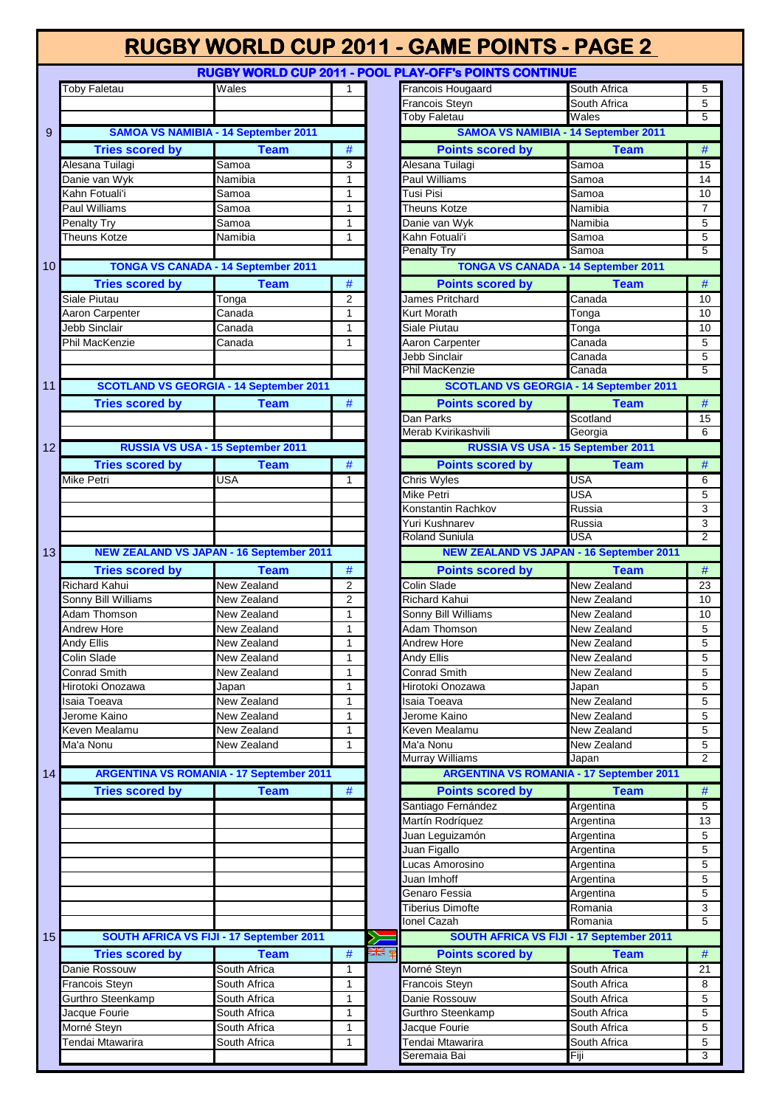L

**RUGBY WORLD CUP 2011 - POOL PL** 

|                 | <b>Toby Faletau</b>    | Wales                                           | 1              |                  | <b>Francois Hougaard</b>                        | South Africa       | $\sqrt{5}$                       |
|-----------------|------------------------|-------------------------------------------------|----------------|------------------|-------------------------------------------------|--------------------|----------------------------------|
|                 |                        |                                                 |                |                  | Francois Steyn                                  | South Africa       | $\overline{5}$                   |
|                 |                        |                                                 |                |                  | Toby Faletau                                    | Wales              | $\overline{5}$                   |
| 9               |                        | <b>SAMOA VS NAMIBIA - 14 September 2011</b>     |                |                  | <b>SAMOA VS NAMIBIA - 14 September 2011</b>     |                    |                                  |
|                 | <b>Tries scored by</b> | <b>Team</b>                                     | $\#$           |                  | <b>Points scored by</b>                         | <b>Team</b>        | $\#$                             |
|                 | Alesana Tuilagi        | Samoa                                           | 3              |                  | Alesana Tuilagi                                 | Samoa              | 15                               |
|                 | Danie van Wyk          | Namibia                                         | $\mathbf{1}$   |                  | Paul Williams                                   | Samoa              | 14                               |
|                 | Kahn Fotuali'i         | Samoa                                           | $\mathbf{1}$   |                  | Tusi Pisi                                       | Samoa              | 10                               |
|                 | <b>Paul Williams</b>   | Samoa                                           | $\mathbf{1}$   |                  | Theuns Kotze                                    | Namibia            | $\overline{7}$                   |
|                 |                        |                                                 |                |                  |                                                 | Namibia            | $\overline{5}$                   |
|                 | Penalty Try            | Samoa                                           | $\mathbf{1}$   |                  | Danie van Wyk                                   |                    |                                  |
|                 | Theuns Kotze           | Namibia                                         | $\mathbf{1}$   |                  | Kahn Fotuali'i                                  | Samoa              | $\overline{5}$<br>$\overline{5}$ |
|                 |                        |                                                 |                |                  | <b>Penalty Try</b>                              | Samoa              |                                  |
| 10 <sup>1</sup> |                        | <b>TONGA VS CANADA - 14 September 2011</b>      |                |                  | <b>TONGA VS CANADA - 14 September 2011</b>      |                    |                                  |
|                 | <b>Tries scored by</b> | <b>Team</b>                                     | $\#$           |                  | <b>Points scored by</b>                         | <b>Team</b>        | #                                |
|                 | Siale Piutau           | Tonga                                           | $\overline{2}$ |                  | James Pritchard                                 | Canada             | 10                               |
|                 | Aaron Carpenter        | $\overline{\mathrm{C}}$ anada                   | $\mathbf{1}$   |                  | Kurt Morath                                     | Tonga              | 10                               |
|                 | Jebb Sinclair          | Canada                                          | $\mathbf{1}$   |                  | Siale Piutau                                    | Tonga              | 10                               |
|                 | <b>Phil MacKenzie</b>  | Canada                                          | $\mathbf{1}$   |                  | Aaron Carpenter                                 | Canada             | $\overline{5}$                   |
|                 |                        |                                                 |                |                  | Jebb Sinclair                                   | Canada             | $\overline{5}$                   |
|                 |                        |                                                 |                |                  | Phil MacKenzie                                  | Canada             | $\overline{5}$                   |
| 11              |                        | <b>SCOTLAND VS GEORGIA - 14 September 2011</b>  |                |                  | <b>SCOTLAND VS GEORGIA - 14 September 2011</b>  |                    |                                  |
|                 | <b>Tries scored by</b> | <b>Team</b>                                     | $\#$           |                  | <b>Points scored by</b>                         | <b>Team</b>        | #                                |
|                 |                        |                                                 |                |                  | Dan Parks                                       | Scotland           | 15                               |
|                 |                        |                                                 |                |                  | Merab Kvirikashvili                             | Georgia            | 6                                |
| 12              |                        | RUSSIA VS USA - 15 September 2011               |                |                  | RUSSIA VS USA - 15 September 2011               |                    |                                  |
|                 |                        |                                                 |                |                  | <b>Points scored by</b>                         | <b>Team</b>        |                                  |
|                 | <b>Tries scored by</b> | <b>Team</b>                                     | $\#$           |                  |                                                 |                    | $\#$                             |
|                 | Mike Petri             | <b>USA</b>                                      | $\mathbf{1}$   |                  | <b>Chris Wyles</b>                              | USA                | 6                                |
|                 |                        |                                                 |                |                  | Mike Petri                                      | <b>USA</b>         | $\overline{5}$                   |
|                 |                        |                                                 |                |                  | Konstantin Rachkov                              | Russia             | $\overline{3}$                   |
|                 |                        |                                                 |                |                  | Yuri Kushnarev                                  | Russia             | $\overline{3}$                   |
|                 |                        |                                                 |                |                  | <b>Roland Suniula</b>                           | <b>USA</b>         | $\overline{2}$                   |
| 13              |                        | <b>NEW ZEALAND VS JAPAN - 16 September 2011</b> |                |                  | <b>NEW ZEALAND VS JAPAN - 16 September 2011</b> |                    |                                  |
|                 | <b>Tries scored by</b> | <b>Team</b>                                     | $\#$           |                  | <b>Points scored by</b>                         | <b>Team</b>        | #                                |
|                 | <b>Richard Kahui</b>   | <b>New Zealand</b>                              | $\overline{2}$ |                  | Colin Slade                                     | New Zealand        | 23                               |
|                 | Sonny Bill Williams    | New Zealand                                     | $\overline{2}$ |                  | <b>Richard Kahui</b>                            | <b>New Zealand</b> | 10                               |
|                 | Adam Thomson           | New Zealand                                     | $\mathbf{1}$   |                  | Sonny Bill Williams                             | New Zealand        | 10                               |
|                 | <b>Andrew Hore</b>     | New Zealand                                     | $\mathbf{1}$   |                  | Adam Thomson                                    | New Zealand        | $\sqrt{5}$                       |
|                 | Andy Ellis             | New Zealand                                     | $\mathbf{1}$   |                  | Andrew Hore                                     | New Zealand        | $\overline{5}$                   |
|                 | Colin Slade            | New Zealand                                     | $\mathbf{1}$   |                  | Andy Ellis                                      | New Zealand        | $\overline{5}$                   |
|                 | Conrad Smith           | New Zealand                                     | $\overline{1}$ |                  | <b>Conrad Smith</b>                             | New Zealand        | $-5$                             |
|                 | Hirotoki Onozawa       | Japan                                           | $\mathbf{1}$   |                  | Hirotoki Onozawa                                | Japan              | $\overline{5}$                   |
|                 | Isaia Toeava           | New Zealand                                     | $\mathbf{1}$   |                  | Isaia Toeava                                    | New Zealand        | 5                                |
|                 | Jerome Kaino           | New Zealand                                     | $\mathbf{1}$   |                  | Jerome Kaino                                    | New Zealand        | $\overline{5}$                   |
|                 |                        |                                                 |                |                  |                                                 |                    |                                  |
|                 | Keven Mealamu          | New Zealand                                     | 1              |                  | Keven Mealamu                                   | New Zealand        | 5                                |
|                 | Ma'a Nonu              | New Zealand                                     | $\mathbf{1}$   |                  | Ma'a Nonu                                       | New Zealand        | $\sqrt{5}$                       |
|                 |                        |                                                 |                |                  | Murray Williams                                 | Japan              | $\overline{2}$                   |
| 14              |                        | <b>ARGENTINA VS ROMANIA - 17 September 2011</b> |                |                  | <b>ARGENTINA VS ROMANIA - 17 September 2011</b> |                    |                                  |
|                 | <b>Tries scored by</b> | <b>Team</b>                                     | $\#$           |                  | <b>Points scored by</b>                         | <b>Team</b>        | $\#$                             |
|                 |                        |                                                 |                |                  | Santiago Fernández                              | Argentina          | $\overline{5}$                   |
|                 |                        |                                                 |                |                  | Martín Rodríquez                                | Argentina          | 13                               |
|                 |                        |                                                 |                |                  | Juan Leguizamón                                 | Argentina          | 5                                |
|                 |                        |                                                 |                |                  | Juan Figallo                                    | Argentina          | $\overline{5}$                   |
|                 |                        |                                                 |                |                  | ucas Amorosino                                  | Argentina          | 5                                |
|                 |                        |                                                 |                |                  | Juan Imhoff                                     | Argentina          | $\overline{5}$                   |
|                 |                        |                                                 |                |                  | Genaro Fessia                                   | Argentina          | $\,$ 5 $\,$                      |
|                 |                        |                                                 |                |                  | <b>Tiberius Dimofte</b>                         | Romania            | 3                                |
|                 |                        |                                                 |                |                  | <b>Ionel Cazah</b>                              | Romania            | $\overline{5}$                   |
| 15              |                        | SOUTH AFRICA VS FIJI - 17 September 2011        |                |                  | SOUTH AFRICA VS FIJI - 17 September 2011        |                    |                                  |
|                 |                        |                                                 |                | <u>अह</u> ्य क्ष |                                                 |                    |                                  |
|                 | <b>Tries scored by</b> | <b>Team</b>                                     | #              |                  | <b>Points scored by</b>                         | <b>Team</b>        | $\#$                             |
|                 | Danie Rossouw          | South Africa                                    | $\mathbf{1}$   |                  | Morné Steyn                                     | South Africa       | 21                               |
|                 | Francois Steyn         | South Africa                                    | 1              |                  | Francois Steyn                                  | South Africa       | 8                                |
|                 | Gurthro Steenkamp      | South Africa                                    | 1              |                  | Danie Rossouw                                   | South Africa       | $\,$ 5 $\,$                      |
|                 | Jacque Fourie          | South Africa                                    | 1              |                  | Gurthro Steenkamp                               | South Africa       | $\sqrt{5}$                       |
|                 | Morné Steyn            | South Africa                                    | 1              |                  | Jacque Fourie                                   | South Africa       | $\sqrt{5}$                       |
|                 | Tendai Mtawarira       | South Africa                                    | 1              |                  | Tendai Mtawarira                                | South Africa       | $\sqrt{5}$                       |
|                 |                        |                                                 |                |                  | Saramaia Rai                                    | Fiii               | ্ব                               |

| <b>LAY-OFF's POINTS CONTINUE</b>                                                                                                                                        |                      |                |
|-------------------------------------------------------------------------------------------------------------------------------------------------------------------------|----------------------|----------------|
| Francois Hougaard                                                                                                                                                       | South Africa         | 5              |
| Francois Steyn                                                                                                                                                          | South Africa         | 5              |
| <b>Toby Faletau</b>                                                                                                                                                     | Wales                | 5              |
| <b>SAMOA VS NAMIBIA - 14 September 2011</b>                                                                                                                             |                      |                |
| <b>Points scored by</b>                                                                                                                                                 | <b>Team</b>          | #              |
| Alesana Tuilagi                                                                                                                                                         | Samoa                | 15             |
| Paul Williams                                                                                                                                                           | Samoa                | 14             |
| Tusi Pisi                                                                                                                                                               | Samoa                | 10             |
| <b>Theuns Kotze</b>                                                                                                                                                     | Namibia              | 7              |
| Danie van Wyk                                                                                                                                                           | Namibia              | 5              |
| Kahn Fotuali'i                                                                                                                                                          | Samoa                | 5              |
| <b>Penalty Try</b>                                                                                                                                                      | Samoa                | 5              |
| <b>TONGA VS CANADA - 14 September 2011</b>                                                                                                                              |                      |                |
| <b>Points scored by</b>                                                                                                                                                 | <b>Team</b>          | #              |
| James Pritchard                                                                                                                                                         | Canada               | 10             |
| Kurt Morath                                                                                                                                                             |                      |                |
|                                                                                                                                                                         | Tonga                | 10             |
| Siale Piutau                                                                                                                                                            | Tonga                | 10             |
| Aaron Carpenter                                                                                                                                                         | Canada               | 5              |
| Jebb Sinclair<br><b>Phil MacKenzie</b>                                                                                                                                  | Canada               | 5<br>5         |
|                                                                                                                                                                         | Canada               |                |
| <b>SCOTLAND VS GEORGIA - 14 September 2011</b>                                                                                                                          |                      |                |
| <b>Points scored by</b>                                                                                                                                                 | <b>Team</b>          | #              |
| Dan Parks                                                                                                                                                               | Scotland             | 15             |
| Merab Kvirikashvili                                                                                                                                                     | Georgia              | 6              |
| RUSSIA VS USA - 15 September 2011                                                                                                                                       |                      |                |
| <b>Points scored by</b>                                                                                                                                                 | <b>Team</b>          | #              |
| <b>Chris Wyles</b>                                                                                                                                                      | <b>USA</b>           | 6              |
| Mike Petri                                                                                                                                                              | <b>USA</b>           | 5              |
| Konstantin Rachkov                                                                                                                                                      | Russia               | 3              |
| Yuri Kushnarev                                                                                                                                                          | Russia               | 3              |
| <b>Roland Suniula</b>                                                                                                                                                   | <b>USA</b>           | $\overline{2}$ |
| <b>NEW ZEALAND VS JAPAN - 16 September 2011</b>                                                                                                                         |                      |                |
| <b>Points scored by</b>                                                                                                                                                 | <b>Team</b>          | #              |
|                                                                                                                                                                         |                      |                |
|                                                                                                                                                                         |                      |                |
| Colin Slade                                                                                                                                                             | <b>New Zealand</b>   | 23<br>10       |
| <b>Richard Kahui</b>                                                                                                                                                    | New Zealand          |                |
| Sonny Bill Williams                                                                                                                                                     | New Zealand          | 10             |
| Adam Thomson                                                                                                                                                            | New Zealand          | 5              |
| Andrew Hore                                                                                                                                                             | New Zealand          | 5              |
| Andy Ellis                                                                                                                                                              | <b>New Zealand</b>   | 5              |
| Conrad Smith                                                                                                                                                            | New Zealand          | 5              |
| Hirotoki Onozawa                                                                                                                                                        | Japan                | 5              |
| Isaia Toeava                                                                                                                                                            | New Zealand          | 5              |
| Jerome Kaino                                                                                                                                                            | New Zealand          | 5              |
| Keven Mealamu                                                                                                                                                           | New Zealand          | 5              |
|                                                                                                                                                                         | New Zealand          | 5              |
|                                                                                                                                                                         | Japan                | $\overline{2}$ |
| <b>ARGENTINA VS ROMANIA - 17 September 2011</b>                                                                                                                         |                      |                |
| <b>Points scored by</b>                                                                                                                                                 | <b>Team</b>          | #              |
|                                                                                                                                                                         | Argentina            | 5              |
|                                                                                                                                                                         | Argentina            | 13             |
|                                                                                                                                                                         | Argentina            | 5              |
| Ma'a Nonu<br>Murray Williams<br>Santiago Fernández<br>Martín Rodríquez<br>Juan Leguizamón<br>Juan Figallo                                                               | Argentina            | 5              |
|                                                                                                                                                                         | Argentina            | 5              |
|                                                                                                                                                                         | Argentina            | 5              |
|                                                                                                                                                                         | Argentina            | 5              |
|                                                                                                                                                                         | Romania              | 3              |
|                                                                                                                                                                         | Romania              | 5              |
| SOUTH AFRICA VS FIJI - 17 September 2011                                                                                                                                |                      |                |
| <b>Points scored by</b>                                                                                                                                                 | <b>Team</b>          | #              |
|                                                                                                                                                                         | South Africa         | 21             |
|                                                                                                                                                                         | South Africa         | 8              |
|                                                                                                                                                                         | South Africa         | 5              |
| Lucas Amorosino<br>Juan Imhoff<br>Genaro Fessia<br><b>Tiberius Dimofte</b><br>Ionel Cazah<br>Morné Steyn<br><b>Francois Steyn</b><br>Danie Rossouw<br>Gurthro Steenkamp | South Africa         | 5              |
| Jacque Fourie                                                                                                                                                           | South Africa         | 5              |
| Tendai Mtawarira<br>Seremaia Bai                                                                                                                                        | South Africa<br>Fiji | 5<br>3         |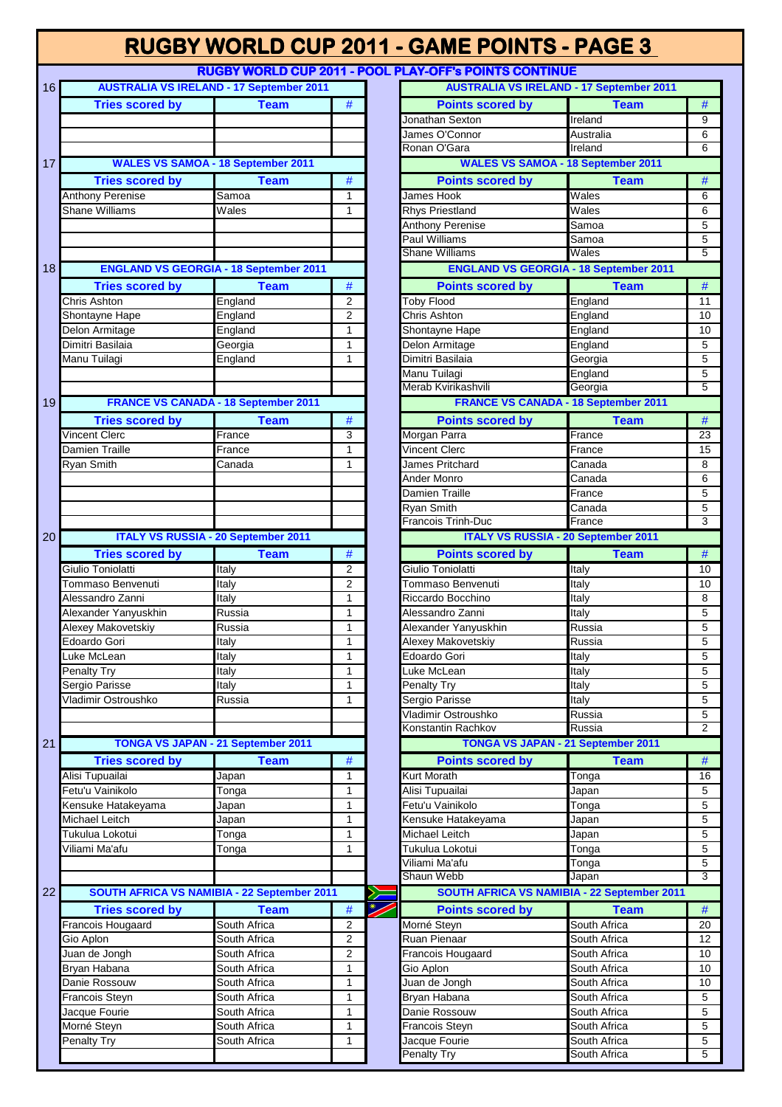**RUGBY WORLD CUP 2011 - POOL PLAY-OFF's POINTS CONTINUE**

| 16              |                         | <b>AUSTRALIA VS IRELAND - 17 September 2011</b> |                |                          | <b>AUSTRALIA VS IRELAND - 17 September 2011</b> |              |                 |
|-----------------|-------------------------|-------------------------------------------------|----------------|--------------------------|-------------------------------------------------|--------------|-----------------|
|                 | <b>Tries scored by</b>  | <b>Team</b>                                     | $\#$           |                          | <b>Points scored by</b>                         | <b>Team</b>  | $\#$            |
|                 |                         |                                                 |                |                          | Jonathan Sexton                                 | Ireland      | 9               |
|                 |                         |                                                 |                |                          | James O'Connor                                  | Australia    | $\,6\,$         |
|                 |                         |                                                 |                |                          | Ronan O'Gara                                    | Ireland      | 6               |
| 17              |                         | <b>WALES VS SAMOA - 18 September 2011</b>       |                |                          | <b>WALES VS SAMOA - 18 September 2011</b>       |              |                 |
|                 | <b>Tries scored by</b>  | <b>Team</b>                                     | $\#$           |                          | <b>Points scored by</b>                         | <b>Team</b>  | $\overline{\#}$ |
|                 | <b>Anthony Perenise</b> | Samoa                                           | $\mathbf{1}$   |                          | James Hook                                      | Wales        | 6               |
|                 | <b>Shane Williams</b>   | Wales                                           | 1              |                          | <b>Rhys Priestland</b>                          | Wales        | 6               |
|                 |                         |                                                 |                |                          | <b>Anthony Perenise</b>                         | Samoa        | $\overline{5}$  |
|                 |                         |                                                 |                |                          | <b>Paul Williams</b>                            | Samoa        | $\overline{5}$  |
|                 |                         |                                                 |                |                          | Shane Williams                                  | Wales        | $\overline{5}$  |
| 18              |                         | <b>ENGLAND VS GEORGIA - 18 September 2011</b>   |                |                          | <b>ENGLAND VS GEORGIA - 18 September 2011</b>   |              |                 |
|                 | <b>Tries scored by</b>  | <b>Team</b>                                     | $\#$           |                          | <b>Points scored by</b>                         | <b>Team</b>  | $\#$            |
|                 | Chris Ashton            | England                                         | $\overline{2}$ |                          | <b>Toby Flood</b>                               | England      | $\overline{11}$ |
|                 | Shontayne Hape          | England                                         | 2              |                          | Chris Ashton                                    | England      | 10              |
|                 | Delon Armitage          | England                                         | $\mathbf{1}$   |                          | Shontayne Hape                                  | England      | 10              |
|                 | Dimitri Basilaia        | Georgia                                         | $\mathbf{1}$   |                          | Delon Armitage                                  | England      | 5               |
|                 | Manu Tuilagi            | England                                         | 1              |                          | Dimitri Basilaia                                | Georgia      | $\mathbf 5$     |
|                 |                         |                                                 |                |                          | Manu Tuilagi                                    | England      | 5               |
|                 |                         |                                                 |                |                          | Merab Kvirikashvili                             | Georgia      | $\overline{5}$  |
| 19              |                         | <b>FRANCE VS CANADA - 18 September 2011</b>     |                |                          | <b>FRANCE VS CANADA - 18 September 2011</b>     |              |                 |
|                 |                         |                                                 |                |                          |                                                 |              |                 |
|                 | <b>Tries scored by</b>  | <b>Team</b>                                     | $\#$           |                          | <b>Points scored by</b>                         | <b>Team</b>  | $\#$            |
|                 | <b>Vincent Clerc</b>    | France                                          | 3              |                          | Morgan Parra                                    | France       | $\overline{23}$ |
|                 | Damien Traille          | France                                          | 1              |                          | <b>Vincent Clerc</b>                            | France       | 15              |
|                 | Ryan Smith              | Canada                                          | 1              |                          | James Pritchard                                 | Canada       | 8               |
|                 |                         |                                                 |                |                          | Ander Monro                                     | Canada       | 6               |
|                 |                         |                                                 |                |                          | <b>Damien Traille</b>                           | France       | $\mathbf 5$     |
|                 |                         |                                                 |                |                          | <b>Ryan Smith</b>                               | Canada       | $\overline{5}$  |
|                 |                         |                                                 |                |                          | Francois Trinh-Duc                              | France       | $\overline{3}$  |
| 20              |                         | <b>ITALY VS RUSSIA - 20 September 2011</b>      |                |                          | <b>ITALY VS RUSSIA - 20 September 2011</b>      |              |                 |
|                 | <b>Tries scored by</b>  | <b>Team</b>                                     | $\#$           |                          | <b>Points scored by</b>                         | <b>Team</b>  | $\#$            |
|                 | Giulio Toniolatti       | Italy                                           | $\overline{2}$ |                          | Giulio Toniolatti                               | Italy        | 10              |
|                 | Tommaso Benvenuti       | Italy                                           | 2              |                          | Tommaso Benvenuti                               | Italy        | 10              |
|                 | Alessandro Zanni        | Italy                                           | $\mathbf{1}$   |                          | Riccardo Bocchino                               | Italy        | 8               |
|                 | Alexander Yanyuskhin    | Russia                                          | $\mathbf{1}$   |                          | Alessandro Zanni                                | Italy        | $\overline{5}$  |
|                 | Alexey Makovetskiy      | Russia                                          | $\mathbf{1}$   |                          | Alexander Yanyuskhin                            | Russia       | $\mathbf 5$     |
|                 | Edoardo Gori            | Italy                                           | $\mathbf{1}$   |                          | Alexey Makovetskiy                              | Russia       | $\overline{5}$  |
|                 | Luke McLean             | Italy                                           | 1              |                          | Edoardo Gori                                    | Italy        | $\overline{5}$  |
|                 | <b>Penalty Try</b>      | Italy                                           | 1              |                          | Luke McLean                                     | Italy        | 5               |
|                 | Sergio Parisse          | Italy                                           | $\mathbf{1}$   |                          | Penalty Try                                     | Italy        | $\overline{5}$  |
|                 | Vladimir Ostroushko     | Russia                                          | 1              |                          | Sergio Parisse                                  | Italy        | 5               |
|                 |                         |                                                 |                |                          | Vladimir Ostroushko                             | Russia       | 5               |
|                 |                         |                                                 |                |                          | Konstantin Rachkov                              | Russia       | $\overline{2}$  |
| 21              |                         | <b>TONGA VS JAPAN - 21 September 2011</b>       |                |                          | <b>TONGA VS JAPAN - 21 September 2011</b>       |              |                 |
|                 | <b>Tries scored by</b>  | <b>Team</b>                                     | $\#$           |                          | <b>Points scored by</b>                         | <b>Team</b>  | $\#$            |
|                 | Alisi Tupuailai         | Japan                                           | $\mathbf{1}$   |                          | <b>Kurt Morath</b>                              | Tonga        | 16              |
|                 | Fetu'u Vainikolo        |                                                 | 1              |                          | Alisi Tupuailai                                 |              | 5               |
|                 |                         | Tonga                                           |                |                          |                                                 | Japan        |                 |
|                 | Kensuke Hatakeyama      | Japan                                           | $\mathbf{1}$   |                          | Fetu'u Vainikolo                                | Tonga        | $\overline{5}$  |
|                 | Michael Leitch          | Japan                                           | 1              |                          | Kensuke Hatakeyama                              | Japan        | $\sqrt{5}$      |
|                 | Tukulua Lokotui         | Tonga                                           | $\mathbf{1}$   |                          | Michael Leitch                                  | Japan        | $\overline{5}$  |
|                 | Viliami Ma'afu          | Tonga                                           | $\mathbf{1}$   |                          | Tukulua Lokotui                                 | Tonga        | $\overline{5}$  |
|                 |                         |                                                 |                |                          | Viliami Ma'afu                                  | Tonga        | $\overline{5}$  |
|                 |                         |                                                 |                |                          | Shaun Webb                                      | Japan        | $\overline{3}$  |
| 22 <sub>2</sub> |                         | SOUTH AFRICA VS NAMIBIA - 22 September 2011     |                |                          | SOUTH AFRICA VS NAMIBIA - 22 September 2011     |              |                 |
|                 | <b>Tries scored by</b>  | <b>Team</b>                                     | $\#$           | $\overline{\mathscr{S}}$ | <b>Points scored by</b>                         | <b>Team</b>  | $\#$            |
|                 | Francois Hougaard       | South Africa                                    | 2              |                          | Morné Steyn                                     | South Africa | 20              |
|                 | Gio Aplon               | South Africa                                    | $\overline{c}$ |                          | Ruan Pienaar                                    | South Africa | 12              |
|                 | Juan de Jongh           | South Africa                                    | $\overline{2}$ |                          | Francois Hougaard                               | South Africa | 10              |
|                 | Bryan Habana            | South Africa                                    | $\mathbf{1}$   |                          | Gio Aplon                                       | South Africa | 10              |
|                 | Danie Rossouw           | South Africa                                    | $\mathbf{1}$   |                          | Juan de Jongh                                   | South Africa | 10              |
|                 | Francois Steyn          | South Africa                                    | $\mathbf{1}$   |                          | Bryan Habana                                    | South Africa | $\,$ 5 $\,$     |
|                 | Jacque Fourie           | South Africa                                    | $\mathbf{1}$   |                          | Danie Rossouw                                   | South Africa | 5               |
|                 | Morné Steyn             | South Africa                                    | $\mathbf{1}$   |                          | Francois Steyn                                  | South Africa | $\overline{5}$  |
|                 | Penalty Try             | South Africa                                    | 1              |                          | Jacque Fourie                                   | South Africa | $\sqrt{5}$      |
|                 |                         |                                                 |                |                          | <b>Penalty Try</b>                              | South Africa | $\overline{5}$  |
|                 |                         |                                                 |                |                          |                                                 |              |                 |

| LAY-UFF'S PUINTS CUNTINUE                       |                              |        |
|-------------------------------------------------|------------------------------|--------|
| <b>AUSTRALIA VS IRELAND - 17 September 2011</b> |                              |        |
| <b>Points scored by</b>                         | <b>Team</b>                  | #      |
| Jonathan Sexton                                 | Ireland                      | 9      |
| James O'Connor                                  | Australia                    | 6      |
| Ronan O'Gara                                    | Ireland                      | 6      |
| <b>WALES VS SAMOA - 18 September 2011</b>       |                              |        |
| <b>Points scored by</b>                         | <b>Team</b>                  | #      |
| James Hook                                      | Wales                        | 6      |
| <b>Rhys Priestland</b>                          | Wales                        | 6      |
| <b>Anthony Perenise</b>                         | Samoa                        | 5      |
| Paul Williams                                   | Samoa                        | 5      |
| <b>Shane Williams</b>                           | Wales                        | 5      |
| <b>ENGLAND VS GEORGIA - 18 September 2011</b>   |                              |        |
|                                                 |                              |        |
| <b>Points scored by</b>                         | <b>Team</b>                  | #      |
| <b>Toby Flood</b>                               | England                      | 11     |
| Chris Ashton                                    | England                      | 10     |
| Shontayne Hape                                  | England                      | 10     |
| Delon Armitage                                  | England                      | 5      |
| Dimitri Basilaia                                | Georgia                      | 5      |
| Manu Tuilagi                                    | England                      | 5      |
| Merab Kvirikashvili                             | Georgia                      | 5      |
| <b>FRANCE VS CANADA - 18 September 2011</b>     |                              |        |
| <b>Points scored by</b>                         | <b>Team</b>                  | #      |
| Morgan Parra                                    | France                       | 23     |
| <b>Vincent Clerc</b>                            | France                       | 15     |
| James Pritchard                                 | Canada                       | 8      |
| Ander Monro                                     | Canada                       | 6      |
| Damien Traille                                  | France                       | 5      |
|                                                 |                              |        |
| Ryan Smith<br><b>Francois Trinh-Duc</b>         | Canada<br>France             | 5<br>3 |
|                                                 |                              |        |
| <b>ITALY VS RUSSIA - 20 September 2011</b>      |                              |        |
| <b>Points scored by</b>                         | <b>Team</b>                  | #      |
|                                                 |                              |        |
| Giulio Toniolatti                               | Italy                        | 10     |
| Tommaso Benvenuti                               | Italy                        | 10     |
| Riccardo Bocchino                               | Italy                        | 8      |
| Alessandro Zanni                                | Italy                        | 5      |
| Alexander Yanyuskhin                            | Russia                       | 5      |
| Alexey Makovetskiy                              | Russia                       | 5      |
| Edoardo Gori                                    | Italy                        | 5      |
| Luke McLean                                     | <b>Italy</b>                 | 5      |
| Penalty Try                                     | Italy                        | 5      |
| Sergio Parisse                                  | Italy                        | 5      |
| Vladimir Ostroushko                             | Russia                       | 5      |
| Konstantin Rachkov                              | Russia                       | 2      |
| <b>TONGA VS JAPAN - 21 September 2011</b>       |                              |        |
|                                                 |                              |        |
| <b>Points scored by</b>                         | <b>Team</b>                  | #      |
|                                                 | Tonga                        | 16     |
| Alisi Tupuailai                                 | Japan                        | 5      |
| <b>Kurt Morath</b><br>Fetu'u Vainikolo          | <b>Tonga</b>                 | 5      |
|                                                 | Japan                        | 5      |
| Kensuke Hatakeyama<br>Michael Leitch            | Japan                        | 5      |
| Tukulua Lokotui                                 | Tonga                        | 5      |
| Viliami Ma'afu                                  | Tonga                        | 5      |
| Shaun Webb                                      | Japan                        | 3      |
| SOUTH AFRICA VS NAMIBIA - 22 September 2011     |                              |        |
| <b>Points scored by</b>                         | <b>Team</b>                  | #      |
| Morné Steyn                                     | South Africa                 | 20     |
|                                                 | South Africa                 | 12     |
| Francois Hougaard                               | South Africa                 | 10     |
| Gio Aplon                                       | South Africa                 | 10     |
| Juan de Jongh                                   | South Africa                 | 10     |
|                                                 | South Africa                 | 5      |
| Ruan Pienaar<br>Bryan Habana<br>Danie Rossouw   | South Africa                 | 5      |
| Francois Steyn                                  | South Africa                 | 5      |
| Jacque Fourie<br><b>Penalty Try</b>             | South Africa<br>South Africa | 5<br>5 |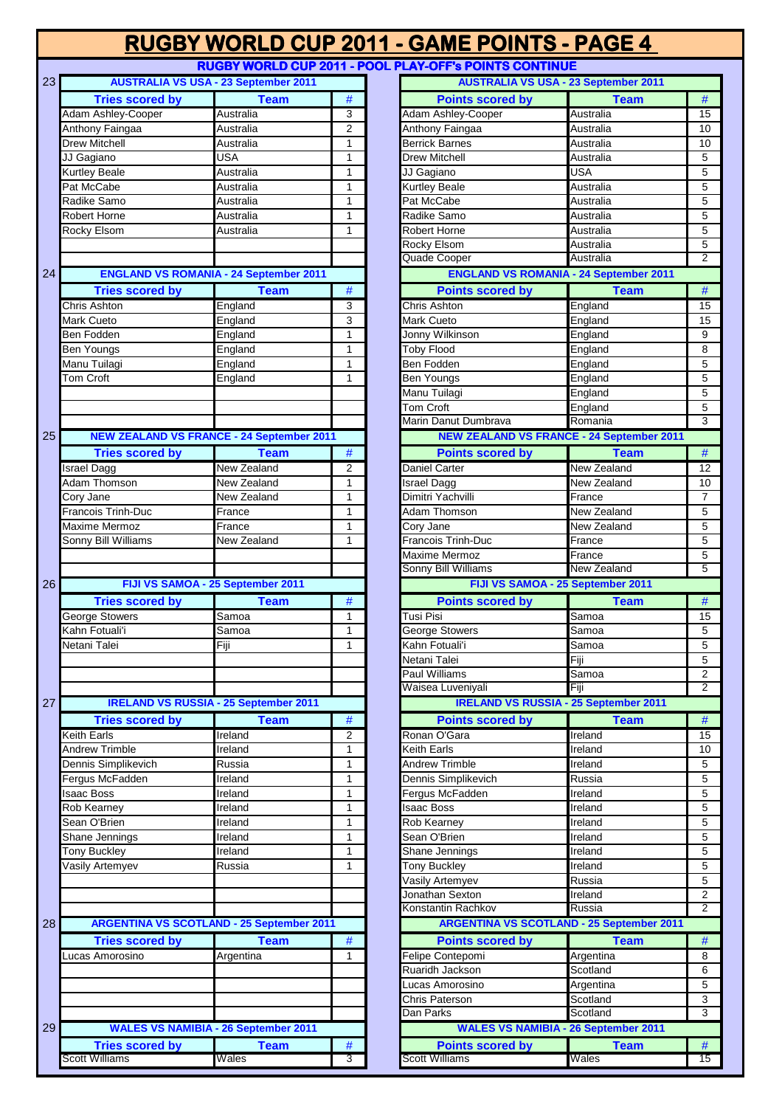|                                          |                                                  |                              | RUGBY WORLD CUP 2011 - GAME POINTS - PAGE 4            |                                                  |                                  |
|------------------------------------------|--------------------------------------------------|------------------------------|--------------------------------------------------------|--------------------------------------------------|----------------------------------|
|                                          |                                                  |                              | RUGBY WORLD CUP 2011 - POOL PLAY-OFF's POINTS CONTINUE |                                                  |                                  |
| 23                                       | <b>AUSTRALIA VS USA - 23 September 2011</b>      |                              |                                                        | <b>AUSTRALIA VS USA - 23 September 2011</b>      |                                  |
| <b>Tries scored by</b>                   | <b>Team</b>                                      | #                            | <b>Points scored by</b>                                | <b>Team</b>                                      | $\#$                             |
| Adam Ashley-Cooper                       | Australia                                        | 3                            | Adam Ashley-Cooper                                     | Australia                                        | 15                               |
| Anthony Faingaa                          | Australia                                        | $\overline{2}$               | Anthony Faingaa                                        | Australia                                        | 10                               |
| <b>Drew Mitchell</b>                     | Australia                                        | $\mathbf{1}$                 | <b>Berrick Barnes</b>                                  | Australia                                        | 10                               |
| JJ Gagiano                               | <b>USA</b><br>Australia                          | $\mathbf{1}$<br>$\mathbf{1}$ | Drew Mitchell                                          | Australia<br><b>USA</b>                          | $\mathbf 5$<br>$\overline{5}$    |
| <b>Kurtley Beale</b><br>Pat McCabe       | Australia                                        | $\mathbf{1}$                 | JJ Gagiano<br><b>Kurtley Beale</b>                     | Australia                                        | 5                                |
| Radike Samo                              | Australia                                        | $\mathbf{1}$                 | Pat McCabe                                             | Australia                                        | $\overline{5}$                   |
| Robert Horne                             | Australia                                        | $\mathbf{1}$                 | Radike Samo                                            | Australia                                        | $\overline{5}$                   |
| Rocky Elsom                              | Australia                                        | $\mathbf{1}$                 | <b>Robert Horne</b>                                    | Australia                                        | $\overline{5}$                   |
|                                          |                                                  |                              | <b>Rocky Elsom</b>                                     | Australia                                        | $\overline{5}$                   |
|                                          |                                                  |                              | Quade Cooper                                           | Australia                                        | $\overline{2}$                   |
| 24                                       | <b>ENGLAND VS ROMANIA - 24 September 2011</b>    |                              |                                                        | <b>ENGLAND VS ROMANIA - 24 September 2011</b>    |                                  |
| <b>Tries scored by</b>                   | <b>Team</b>                                      | $\#$                         | <b>Points scored by</b>                                | <b>Team</b>                                      | #                                |
| Chris Ashton                             | England                                          | $\overline{3}$               | <b>Chris Ashton</b>                                    | England                                          | 15                               |
| Mark Cueto                               | England                                          | 3                            | <b>Mark Cueto</b>                                      | England                                          | 15                               |
| Ben Fodden                               | England                                          | $\mathbf{1}$                 | Jonny Wilkinson                                        | England                                          | 9                                |
| <b>Ben Youngs</b>                        | England                                          | $\mathbf{1}$                 | <b>Toby Flood</b>                                      | England                                          | $\overline{8}$                   |
| Manu Tuilagi                             | England                                          | $\mathbf{1}$                 | Ben Fodden                                             | England                                          | $\overline{5}$                   |
| Tom Croft                                | England                                          | $\mathbf{1}$                 | <b>Ben Youngs</b>                                      | England                                          | $\overline{5}$                   |
|                                          |                                                  |                              | Manu Tuilagi                                           | England                                          | $\overline{5}$                   |
|                                          |                                                  |                              | Tom Croft                                              | England                                          | $\overline{5}$                   |
|                                          |                                                  |                              | Marin Danut Dumbrava                                   | Romania                                          | $\overline{3}$                   |
| 25                                       | <b>NEW ZEALAND VS FRANCE - 24 September 2011</b> |                              |                                                        | <b>NEW ZEALAND VS FRANCE - 24 September 2011</b> |                                  |
| <b>Tries scored by</b>                   | <b>Team</b>                                      | $\#$                         | <b>Points scored by</b>                                | <b>Team</b>                                      | #                                |
| <b>Israel Dagg</b>                       | New Zealand                                      | 2                            | <b>Daniel Carter</b>                                   | New Zealand                                      | 12                               |
| Adam Thomson                             | New Zealand                                      | $\mathbf{1}$                 | <b>Israel Dagg</b>                                     | New Zealand                                      | 10                               |
| Cory Jane                                | New Zealand                                      | $\mathbf{1}$                 | Dimitri Yachvilli                                      | France                                           | $\overline{7}$                   |
| <b>Francois Trinh-Duc</b>                | France                                           | $\mathbf{1}$                 | Adam Thomson                                           | New Zealand                                      | 5                                |
| Maxime Mermoz                            | France                                           | $\mathbf{1}$                 | Cory Jane                                              | New Zealand                                      | 5                                |
| Sonny Bill Williams                      | New Zealand                                      | $\mathbf{1}$                 | <b>Francois Trinh-Duc</b><br><b>Maxime Mermoz</b>      | France                                           | $\overline{5}$                   |
|                                          |                                                  |                              | Sonny Bill Williams                                    | France<br>New Zealand                            | $\overline{5}$<br>$\overline{5}$ |
|                                          | FIJI VS SAMOA - 25 September 2011                |                              |                                                        | FIJI VS SAMOA - 25 September 2011                |                                  |
|                                          |                                                  |                              | <b>Points scored by</b>                                |                                                  | #                                |
| <b>Tries scored by</b><br>George Stowers | <b>Team</b><br>Samoa                             | $\#$<br>$\mathbf{1}$         | <b>Tusi Pisi</b>                                       | <b>Team</b><br>Samoa                             | 15                               |
| Kahn Fotuali'i                           | Samoa                                            | $\mathbf{1}$                 | <b>George Stowers</b>                                  | Samoa                                            | $\sqrt{5}$                       |
| Netani Talei                             | Fiji                                             | $\mathbf{1}$                 | Kahn Fotuali'i                                         | Samoa                                            | $\overline{5}$                   |
|                                          |                                                  |                              | Netani Talei                                           | Fiji                                             | $5\phantom{.0}$                  |
|                                          |                                                  |                              | Paul Williams                                          | Samoa                                            | $\overline{2}$                   |
|                                          |                                                  |                              | Waisea Luveniyali                                      | Fiji                                             | 2                                |
| 27                                       | <b>IRELAND VS RUSSIA - 25 September 2011</b>     |                              |                                                        | <b>IRELAND VS RUSSIA - 25 September 2011</b>     |                                  |
| <b>Tries scored by</b>                   | <b>Team</b>                                      | $\#$                         | <b>Points scored by</b>                                | <b>Team</b>                                      | $\#$                             |
| <b>Keith Earls</b>                       | Ireland                                          | $\overline{2}$               | Ronan O'Gara                                           | Ireland                                          | 15                               |
| <b>Andrew Trimble</b>                    | Ireland                                          | $\mathbf{1}$                 | <b>Keith Earls</b>                                     | Ireland                                          | 10                               |
| Dennis Simplikevich                      | Russia                                           | $\mathbf{1}$                 | <b>Andrew Trimble</b>                                  | Ireland                                          | $\sqrt{5}$                       |
| Fergus McFadden                          | Ireland                                          | $\mathbf{1}$                 | Dennis Simplikevich                                    | Russia                                           | $\sqrt{5}$                       |
| <b>Isaac Boss</b>                        | Ireland                                          | $\mathbf{1}$                 | Fergus McFadden                                        | Ireland                                          | $\overline{5}$                   |
| Rob Kearney                              | Ireland                                          | $\mathbf{1}$                 | Isaac Boss                                             | Ireland                                          | $\sqrt{5}$                       |
| Sean O'Brien                             | Ireland                                          | $\mathbf{1}$                 | Rob Kearney                                            | Ireland                                          | $\overline{5}$                   |
| Shane Jennings                           | Ireland                                          | $\mathbf{1}$                 | Sean O'Brien                                           | Ireland                                          | $\overline{5}$                   |
| Tony Buckley                             | Ireland                                          | $\mathbf{1}$                 | Shane Jennings                                         | Ireland                                          | $\overline{5}$                   |
| Vasily Artemyev                          | Russia                                           | $\mathbf{1}$                 | <b>Tony Buckley</b>                                    | Ireland                                          | $\sqrt{5}$                       |
|                                          |                                                  |                              | Vasily Artemyev                                        | Russia                                           | $\overline{5}$                   |
|                                          |                                                  |                              | Jonathan Sexton                                        | Ireland                                          | $\overline{2}$                   |
|                                          |                                                  |                              | Konstantin Rachkov                                     | Russia                                           | $\overline{2}$                   |
| 28                                       | <b>ARGENTINA VS SCOTLAND - 25 September 2011</b> |                              |                                                        | <b>ARGENTINA VS SCOTLAND - 25 September 2011</b> |                                  |
| <b>Tries scored by</b>                   | <b>Team</b>                                      | #                            | <b>Points scored by</b>                                | <b>Team</b>                                      | #                                |
| Lucas Amorosino                          | Argentina                                        | $\mathbf{1}$                 | Felipe Contepomi                                       | Argentina                                        | 8                                |
|                                          |                                                  |                              | Ruaridh Jackson                                        | Scotland                                         | $\overline{6}$                   |
|                                          |                                                  |                              | Lucas Amorosino                                        | Argentina                                        | $\sqrt{5}$                       |
|                                          |                                                  |                              | Chris Paterson                                         | Scotland                                         | $\mathbf{3}$                     |
|                                          |                                                  |                              | Dan Parks                                              | Scotland                                         | $\overline{3}$                   |
| 29                                       | <b>WALES VS NAMIBIA - 26 September 2011</b>      |                              |                                                        | <b>WALES VS NAMIBIA - 26 September 2011</b>      |                                  |
| <b>Tries scored by</b>                   | <b>Team</b>                                      | #                            | <b>Points scored by</b>                                | <b>Team</b>                                      | #                                |

| <b>AUSTRALIA VS USA - 23 September 2011</b>      |                    |                |                           | <b>AUSTRALIA VS USA - 23 September 2011</b>      |                |
|--------------------------------------------------|--------------------|----------------|---------------------------|--------------------------------------------------|----------------|
| <b>Tries scored by</b>                           | <b>Team</b>        | #              | <b>Points scored by</b>   | <b>Team</b>                                      | #              |
| Adam Ashley-Cooper                               | Australia          | 3              | Adam Ashley-Cooper        | Australia                                        | 15             |
| Anthony Faingaa                                  | Australia          | $\overline{2}$ | Anthony Faingaa           | Australia                                        | 10             |
| Drew Mitchell                                    | Australia          | $\mathbf{1}$   | <b>Berrick Barnes</b>     | Australia                                        | 10             |
| JJ Gagiano                                       | USA                | $\mathbf{1}$   | <b>Drew Mitchell</b>      | Australia                                        | 5              |
| <b>Kurtley Beale</b>                             | Australia          | $\mathbf{1}$   | JJ Gagiano                | <b>USA</b>                                       | 5              |
| Pat McCabe                                       | Australia          | $\mathbf{1}$   | Kurtley Beale             | Australia                                        | 5              |
| Radike Samo                                      | Australia          | 1              | Pat McCabe                | Australia                                        | 5              |
| Robert Horne                                     | Australia          | 1              | Radike Samo               | Australia                                        | 5              |
| Rocky Elsom                                      | Australia          | 1              | <b>Robert Horne</b>       | Australia                                        | 5              |
|                                                  |                    |                | <b>Rocky Elsom</b>        | Australia                                        | 5              |
|                                                  |                    |                | Quade Cooper              | Australia                                        | $\overline{2}$ |
| <b>ENGLAND VS ROMANIA - 24 September 2011</b>    |                    |                |                           | <b>ENGLAND VS ROMANIA - 24 September 2011</b>    |                |
| <b>Tries scored by</b>                           | <b>Team</b>        | $\#$           | <b>Points scored by</b>   | <b>Team</b>                                      | $\#$           |
| <b>Chris Ashton</b>                              | England            | 3              | <b>Chris Ashton</b>       | England                                          | 15             |
| Mark Cueto                                       | England            | 3              | Mark Cueto                | England                                          | 15             |
| Ben Fodden                                       | England            | $\mathbf{1}$   | Jonny Wilkinson           | England                                          | 9              |
| Ben Youngs                                       | England            | $\mathbf{1}$   | <b>Toby Flood</b>         | England                                          | 8              |
| Manu Tuilagi                                     | England            | 1              | <b>Ben Fodden</b>         | England                                          | 5              |
| <b>Tom Croft</b>                                 | England            | 1              | <b>Ben Youngs</b>         | England                                          | 5              |
|                                                  |                    |                | Manu Tuilagi              | England                                          | 5              |
|                                                  |                    |                | <b>Tom Croft</b>          | England                                          | 5              |
|                                                  |                    |                | Marin Danut Dumbrava      | Romania                                          | 3              |
| <b>NEW ZEALAND VS FRANCE - 24 September 2011</b> |                    |                |                           | <b>NEW ZEALAND VS FRANCE - 24 September 2011</b> |                |
| <b>Tries scored by</b>                           | <b>Team</b>        | #              | <b>Points scored by</b>   | <b>Team</b>                                      | $\#$           |
| <b>Israel Dagg</b>                               | <b>New Zealand</b> | $\overline{2}$ | Daniel Carter             | <b>New Zealand</b>                               | 12             |
| Adam Thomson                                     | New Zealand        | 1              | <b>Israel Dagg</b>        | New Zealand                                      | 10             |
| Cory Jane                                        | New Zealand        | 1              | Dimitri Yachvilli         | France                                           | $\overline{7}$ |
| Francois Trinh-Duc                               | France             | $\mathbf{1}$   | Adam Thomson              | New Zealand                                      | 5              |
| <b>Maxime Mermoz</b>                             | France             | 1              | Cory Jane                 | New Zealand                                      | 5              |
| Sonny Bill Williams                              | New Zealand        | 1              | <b>Francois Trinh-Duc</b> | France                                           | 5              |
|                                                  |                    |                | Maxime Mermoz             | France                                           | 5              |
|                                                  |                    |                | Sonny Bill Williams       | <b>New Zealand</b>                               | 5              |
| FIJI VS SAMOA - 25 September 2011                |                    |                |                           | FIJI VS SAMOA - 25 September 2011                |                |
| <b>Tries scored by</b>                           | <b>Team</b>        | $\#$           | <b>Points scored by</b>   | <b>Team</b>                                      | $\#$           |
| George Stowers                                   | Samoa              | 1              | Tusi Pisi                 | Samoa                                            | 15             |
| Kahn Fotuali'i                                   | Samoa              | $\mathbf{1}$   | <b>George Stowers</b>     | Samoa                                            | 5              |
| Netani Talei                                     | Fiji               | $\mathbf{1}$   | Kahn Fotuali'i            | Samoa                                            | 5              |
|                                                  |                    |                | Netani Talei              | Fiji                                             | 5              |
|                                                  |                    |                | <b>Paul Williams</b>      | Samoa                                            | 2              |
|                                                  |                    |                | Waisea Luveniyali         | Fiji                                             | $\overline{2}$ |
| <b>IRELAND VS RUSSIA - 25 September 2011</b>     |                    |                |                           | <b>IRELAND VS RUSSIA - 25 September 2011</b>     |                |
| <b>Tries scored by</b>                           | <b>Team</b>        | #              | <b>Points scored by</b>   | <b>Team</b>                                      | $\#$           |
| <b>Keith Earls</b>                               | Ireland            | $\overline{2}$ | Ronan O'Gara              | Ireland                                          | 15             |
| <b>Andrew Trimble</b>                            | Ireland            | $\mathbf{1}$   | <b>Keith Earls</b>        | Ireland                                          | 10             |
| Dennis Simplikevich                              | Russia             | $\mathbf{1}$   | <b>Andrew Trimble</b>     | Ireland                                          | 5              |
| Fergus McFadden                                  | Ireland            | $\mathbf{1}$   | Dennis Simplikevich       | Russia                                           | 5              |
| <b>Isaac Boss</b>                                | Ireland            | 1              | Fergus McFadden           | Ireland                                          | 5              |
| Rob Kearney                                      | Ireland            | 1              | <b>Isaac Boss</b>         | Ireland                                          | 5              |
| Sean O'Brien                                     | Ireland            | $\mathbf{1}$   | Rob Kearney               | Ireland                                          | 5              |
| Shane Jennings                                   | Ireland            | $\mathbf{1}$   | Sean O'Brien              | Ireland                                          | 5              |
| <b>Tony Buckley</b>                              | Ireland            | $\mathbf{1}$   | Shane Jennings            | Ireland                                          | 5              |
| Vasily Artemyev                                  | Russia             | $\mathbf{1}$   | <b>Tony Buckley</b>       | Ireland                                          | 5              |
|                                                  |                    |                | Vasily Artemyev           | Russia                                           | 5              |
|                                                  |                    |                | Jonathan Sexton           | Ireland                                          | 2              |
|                                                  |                    |                | Konstantin Rachkov        | Russia                                           | $\overline{2}$ |
| <b>ARGENTINA VS SCOTLAND - 25 September 2011</b> |                    |                |                           | <b>ARGENTINA VS SCOTLAND - 25 September 2011</b> |                |
|                                                  |                    |                | <b>Points scored by</b>   |                                                  |                |
| <b>Tries scored by</b>                           | <b>Team</b>        | $\#$           |                           | <b>Team</b>                                      | $\#$           |
| Lucas Amorosino                                  | Argentina          | 1              | Felipe Contepomi          | Argentina                                        | 8              |
|                                                  |                    |                | Ruaridh Jackson           | Scotland                                         | 6              |
|                                                  |                    |                | Lucas Amorosino           | Argentina                                        | 5              |
|                                                  |                    |                | <b>Chris Paterson</b>     | Scotland                                         | 3              |
|                                                  |                    |                | Dan Parks                 | Scotland                                         | 3              |
| <b>WALES VS NAMIBIA - 26 September 2011</b>      |                    |                |                           | <b>WALES VS NAMIBIA - 26 September 2011</b>      |                |
| <b>Tries scored by</b>                           | <b>Team</b>        | #              | <b>Points scored by</b>   | <b>Team</b>                                      | #              |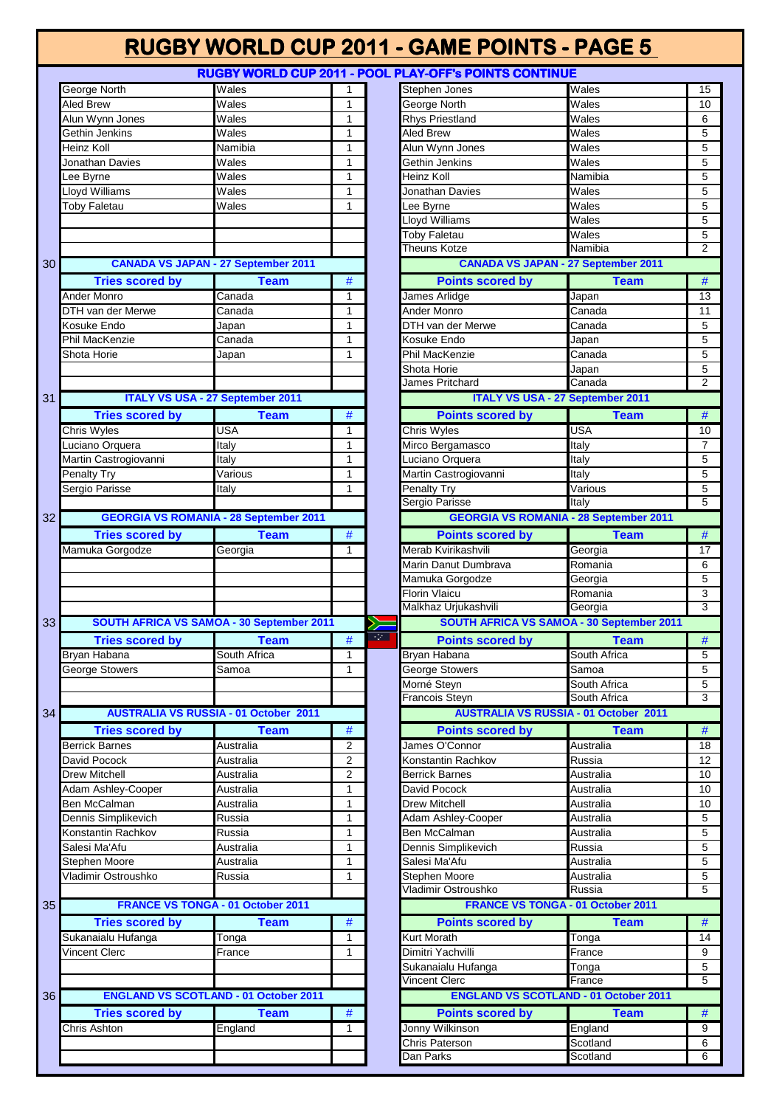**RUGBY WORLD CUP 2011 - POOL PLAY-OFF's POINTS CONTINUE**

|    | George North                                  | Wales                        | 1 |
|----|-----------------------------------------------|------------------------------|---|
|    | Aled Brew                                     | Wales                        | 1 |
|    | Alun Wynn Jones                               | Wales                        | 1 |
|    | Gethin Jenkins                                | Wales                        | 1 |
|    | Heinz Koll                                    | Namibia                      | 1 |
|    | Jonathan Davies                               | $\overline{\mathsf{W}}$ ales | 1 |
|    | Lee Byrne                                     | $\overline{\mathsf{W}}$ ales | 1 |
|    | Lloyd Williams                                | Wales                        | 1 |
|    | <b>Toby Faletau</b>                           | Wales                        | 1 |
|    |                                               |                              |   |
|    |                                               |                              |   |
|    |                                               |                              |   |
| 30 | <b>CANADA VS JAPAN - 27 September 2011</b>    |                              |   |
|    |                                               | <b>Team</b>                  | # |
|    | <b>Tries scored by</b><br><b>Ander Monro</b>  |                              |   |
|    |                                               | Canada                       | 1 |
|    | DTH van der Merwe                             | Canada                       | 1 |
|    | Kosuke Endo<br>Phil MacKenzie                 | Japan                        | 1 |
|    |                                               | Canada                       | 1 |
|    | Shota Horie                                   | Japan                        | 1 |
|    |                                               |                              |   |
| 31 | <b>ITALY VS USA - 27 September 2011</b>       |                              |   |
|    |                                               |                              |   |
|    | <b>Tries scored by</b>                        | <b>Team</b>                  | # |
|    | Chris Wyles                                   | <b>USA</b>                   | 1 |
|    | Luciano Orquera                               | Italy                        | 1 |
|    | Martin Castrogiovanni                         | <b>Italy</b>                 | 1 |
|    | Penalty Try                                   | $\overline{V}$ arious        | 1 |
|    | Sergio Parisse                                | Italy                        | 1 |
| 32 | <b>GEORGIA VS ROMANIA - 28 September 2011</b> |                              |   |
|    |                                               |                              |   |
|    | <b>Tries scored by</b>                        | <b>Team</b>                  | # |
|    | Mamuka Gorgodze                               | Georgia                      | 1 |
|    |                                               |                              |   |
|    |                                               |                              |   |
|    |                                               |                              |   |
|    |                                               |                              |   |
|    |                                               |                              |   |
| 33 | SOUTH AFRICA VS SAMOA - 30 September 2011     |                              |   |
|    | <b>Tries scored by</b>                        | <b>Team</b>                  | # |
|    | Bryan Habana                                  | South Africa                 | 1 |
|    | George Stowers                                | Samoa                        | 1 |
|    |                                               |                              |   |
|    |                                               |                              |   |
| 34 | <b>AUSTRALIA VS RUSSIA - 01 October 2011</b>  |                              |   |
|    | <b>Tries scored by</b>                        | <b>Team</b>                  | # |
|    | Berrick Barnes                                | Australia                    | 2 |
|    | David Pocock                                  | Australia                    | 2 |
|    | <b>Drew Mitchell</b>                          | Australia                    | 2 |
|    | Adam Ashley-Cooper                            | Australia                    | 1 |
|    | Ben McCalman                                  | Australia                    | 1 |
|    | Dennis Simplikevich                           | Russia                       | 1 |
|    | Konstantin Rachkov                            | Russia                       | 1 |
|    | Salesi Ma'Afu                                 | Australia                    | 1 |
|    | Stephen Moore                                 | Australia                    | 1 |
|    | Vladimir Ostroushko                           | Russia                       | 1 |
|    |                                               |                              |   |
| 35 | FRANCE VS TONGA - 01 October 2011             |                              |   |
|    | <b>Tries scored by</b>                        | <b>Team</b>                  | # |
|    | Sukanaialu Hufanga                            | Tonga                        | 1 |
|    | Vincent Clerc                                 | France                       | 1 |
|    |                                               |                              |   |
|    |                                               |                              |   |
| 36 | <b>ENGLAND VS SCOTLAND - 01 October 2011</b>  |                              |   |
|    | <b>Tries scored by</b>                        | <b>Team</b>                  | # |
|    | Chris Ashton                                  | England                      | 1 |
|    |                                               |                              |   |

|                                                                                                                                                                                                                                                                                                           | 110001 MORED OOI ZOTTER OOET                  |                |      | <u>LAT-91 81 UNIO UURINUL</u>                 |                              |                                |
|-----------------------------------------------------------------------------------------------------------------------------------------------------------------------------------------------------------------------------------------------------------------------------------------------------------|-----------------------------------------------|----------------|------|-----------------------------------------------|------------------------------|--------------------------------|
| <b>George North</b>                                                                                                                                                                                                                                                                                       | Wales                                         | $\mathbf{1}$   |      | Stephen Jones                                 | Wales                        | 15                             |
| Aled Brew                                                                                                                                                                                                                                                                                                 | Wales                                         | $\mathbf{1}$   |      | George North                                  | Wales                        | 10                             |
| Alun Wynn Jones                                                                                                                                                                                                                                                                                           | Wales                                         | $\mathbf{1}$   |      | <b>Rhys Priestland</b>                        | $\overline{\mathsf{W}}$ ales | 6                              |
| Gethin Jenkins                                                                                                                                                                                                                                                                                            | Wales                                         | 1              |      | Aled Brew                                     | Wales                        | 5                              |
| Heinz Koll                                                                                                                                                                                                                                                                                                | Namibia                                       | $\mathbf{1}$   |      | Alun Wynn Jones                               | Wales                        | 5                              |
| Jonathan Davies                                                                                                                                                                                                                                                                                           | Wales                                         | $\mathbf{1}$   |      | Gethin Jenkins                                | Wales                        | 5                              |
| Lee Byrne                                                                                                                                                                                                                                                                                                 | Wales                                         | $\mathbf{1}$   |      | Heinz Koll                                    | Namibia                      | 5                              |
| <b>Lloyd Williams</b>                                                                                                                                                                                                                                                                                     | Wales                                         | $\mathbf{1}$   |      | Jonathan Davies                               | Wales                        | 5                              |
| <b>Toby Faletau</b>                                                                                                                                                                                                                                                                                       | Wales                                         | $\mathbf{1}$   |      | Lee Byrne                                     | Wales                        | 5                              |
|                                                                                                                                                                                                                                                                                                           |                                               |                |      | Lloyd Williams                                | Wales                        | 5                              |
|                                                                                                                                                                                                                                                                                                           |                                               |                |      | Toby Faletau                                  | Wales                        | 5                              |
|                                                                                                                                                                                                                                                                                                           |                                               |                |      | <b>Theuns Kotze</b>                           | Namibia                      | $\overline{2}$                 |
|                                                                                                                                                                                                                                                                                                           |                                               |                |      | <b>CANADA VS JAPAN - 27 September 2011</b>    |                              |                                |
|                                                                                                                                                                                                                                                                                                           | <b>CANADA VS JAPAN - 27 September 2011</b>    |                |      |                                               |                              |                                |
| <b>Tries scored by</b>                                                                                                                                                                                                                                                                                    | <b>Team</b>                                   | #              |      | <b>Points scored by</b>                       | <b>Team</b>                  | #                              |
| Ander Monro                                                                                                                                                                                                                                                                                               | Canada                                        | 1              |      | James Arlidge                                 | Japan                        | 13                             |
| DTH van der Merwe                                                                                                                                                                                                                                                                                         | Canada                                        | $\mathbf{1}$   |      | Ander Monro                                   | Canada                       | 11                             |
| Kosuke Endo                                                                                                                                                                                                                                                                                               | Japan                                         | $\mathbf{1}$   |      | DTH van der Merwe                             | Canada                       | 5                              |
| <b>Phil MacKenzie</b>                                                                                                                                                                                                                                                                                     | Canada                                        | $\mathbf{1}$   |      | Kosuke Endo                                   | Japan                        | 5                              |
| Shota Horie                                                                                                                                                                                                                                                                                               | Japan                                         | $\mathbf{1}$   |      | Phil MacKenzie                                | Canada                       | 5                              |
|                                                                                                                                                                                                                                                                                                           |                                               |                |      | Shota Horie                                   | Japan                        | 5                              |
|                                                                                                                                                                                                                                                                                                           |                                               |                |      | James Pritchard                               | Canada                       | $\overline{2}$                 |
|                                                                                                                                                                                                                                                                                                           | <b>ITALY VS USA - 27 September 2011</b>       |                |      | <b>ITALY VS USA - 27 September 2011</b>       |                              |                                |
| <b>Tries scored by</b>                                                                                                                                                                                                                                                                                    | <b>Team</b>                                   | #              |      | <b>Points scored by</b>                       | <b>Team</b>                  | $\#$                           |
| Chris Wyles                                                                                                                                                                                                                                                                                               | USA                                           | 1              |      | Chris Wyles                                   | <b>USA</b>                   | 10                             |
|                                                                                                                                                                                                                                                                                                           |                                               |                |      | Mirco Bergamasco                              | Italy                        |                                |
| Luciano Orquera                                                                                                                                                                                                                                                                                           | Italy                                         | $\mathbf{1}$   |      |                                               |                              | 7                              |
| Martin Castrogiovanni                                                                                                                                                                                                                                                                                     | Italy                                         | $\mathbf{1}$   |      | Luciano Orquera                               | Italy                        | 5                              |
| Penalty Try                                                                                                                                                                                                                                                                                               | Various                                       | $\mathbf{1}$   |      | Martin Castrogiovanni                         | Italv                        | 5                              |
| Sergio Parisse                                                                                                                                                                                                                                                                                            | Italy                                         | $\mathbf{1}$   |      | <b>Penalty Try</b>                            | Various                      | 5                              |
|                                                                                                                                                                                                                                                                                                           |                                               |                |      | Sergio Parisse                                | Italy                        | 5                              |
|                                                                                                                                                                                                                                                                                                           | <b>GEORGIA VS ROMANIA - 28 September 2011</b> |                |      | <b>GEORGIA VS ROMANIA - 28 September 2011</b> |                              |                                |
| <b>Tries scored by</b>                                                                                                                                                                                                                                                                                    | <b>Team</b>                                   | #              |      | <b>Points scored by</b>                       | <b>Team</b>                  | $\#$                           |
| Mamuka Gorgodze                                                                                                                                                                                                                                                                                           | Georgia                                       | 1              |      | Merab Kvirikashvili                           | Georgia                      | 17                             |
|                                                                                                                                                                                                                                                                                                           |                                               |                |      | Marin Danut Dumbrava                          | Romania                      | 6                              |
|                                                                                                                                                                                                                                                                                                           |                                               |                |      |                                               |                              |                                |
|                                                                                                                                                                                                                                                                                                           |                                               |                |      |                                               |                              |                                |
|                                                                                                                                                                                                                                                                                                           |                                               |                |      | Mamuka Gorgodze                               | Georgia                      | 5                              |
|                                                                                                                                                                                                                                                                                                           |                                               |                |      | Florin Vlaicu                                 | Romania                      | $\mathbf{3}$<br>$\overline{3}$ |
|                                                                                                                                                                                                                                                                                                           |                                               |                |      | Malkhaz Urjukashvili                          | Georgia                      |                                |
|                                                                                                                                                                                                                                                                                                           | SOUTH AFRICA VS SAMOA - 30 September 2011     |                | ≻    | SOUTH AFRICA VS SAMOA - 30 September 2011     |                              |                                |
| <b>Tries scored by</b>                                                                                                                                                                                                                                                                                    | <b>Team</b>                                   | $\#$           | स्टा | <b>Points scored by</b>                       | <b>Team</b>                  | $\#$                           |
|                                                                                                                                                                                                                                                                                                           | South Africa                                  | 1              |      | Bryan Habana                                  | South Africa                 | 5                              |
|                                                                                                                                                                                                                                                                                                           | Samoa                                         | 1              |      | George Stowers                                | Samoa                        | 5                              |
|                                                                                                                                                                                                                                                                                                           |                                               |                |      | Morné Steyn                                   | South Africa                 | 5                              |
|                                                                                                                                                                                                                                                                                                           |                                               |                |      | <b>Francois Steyn</b>                         | South Africa                 | $\overline{3}$                 |
|                                                                                                                                                                                                                                                                                                           | <b>AUSTRALIA VS RUSSIA - 01 October 2011</b>  |                |      | <b>AUSTRALIA VS RUSSIA - 01 October 2011</b>  |                              |                                |
| <b>Tries scored by</b>                                                                                                                                                                                                                                                                                    | <b>Team</b>                                   | #              |      | <b>Points scored by</b>                       | <b>Team</b>                  | #                              |
|                                                                                                                                                                                                                                                                                                           | Australia                                     | $\overline{2}$ |      | James O'Connor                                | Australia                    | 18                             |
|                                                                                                                                                                                                                                                                                                           | Australia                                     | $\overline{2}$ |      | Konstantin Rachkov                            | Russia                       | 12                             |
|                                                                                                                                                                                                                                                                                                           | Australia                                     | $\overline{2}$ |      | <b>Berrick Barnes</b>                         | Australia                    | 10                             |
|                                                                                                                                                                                                                                                                                                           |                                               | $\mathbf{1}$   |      |                                               |                              |                                |
|                                                                                                                                                                                                                                                                                                           | Australia                                     |                |      | David Pocock                                  | Australia                    | 10                             |
|                                                                                                                                                                                                                                                                                                           | Australia                                     | 1              |      | <b>Drew Mitchell</b>                          | Australia                    | 10                             |
|                                                                                                                                                                                                                                                                                                           | Russia                                        | $\mathbf{1}$   |      | Adam Ashley-Cooper                            | Australia                    | 5                              |
|                                                                                                                                                                                                                                                                                                           | Russia                                        | $\mathbf{1}$   |      | Ben McCalman                                  | Australia                    | 5                              |
|                                                                                                                                                                                                                                                                                                           | Australia                                     | $\mathbf{1}$   |      | Dennis Simplikevich                           | Russia                       | 5                              |
|                                                                                                                                                                                                                                                                                                           | Australia                                     | $\mathbf{1}$   |      | Salesi Ma'Afu                                 | Australia                    | 5                              |
|                                                                                                                                                                                                                                                                                                           | Russia                                        | $\mathbf{1}$   |      | <b>Stephen Moore</b>                          | Australia                    | 5                              |
|                                                                                                                                                                                                                                                                                                           |                                               |                |      | Vladimir Ostroushko                           | Russia                       | $\overline{5}$                 |
|                                                                                                                                                                                                                                                                                                           | <b>FRANCE VS TONGA - 01 October 2011</b>      |                |      | <b>FRANCE VS TONGA - 01 October 2011</b>      |                              |                                |
| <b>Tries scored by</b>                                                                                                                                                                                                                                                                                    | <b>Team</b>                                   | $\#$           |      | <b>Points scored by</b>                       | <b>Team</b>                  | $\#$                           |
|                                                                                                                                                                                                                                                                                                           | Tonga                                         | 1              |      | <b>Kurt Morath</b>                            | Tonga                        | 14                             |
|                                                                                                                                                                                                                                                                                                           | France                                        | 1              |      | Dimitri Yachvilli                             | France                       | 9                              |
|                                                                                                                                                                                                                                                                                                           |                                               |                |      | Sukanaialu Hufanga                            | Tonga                        | 5                              |
|                                                                                                                                                                                                                                                                                                           |                                               |                |      | Vincent Clerc                                 | France                       | 5                              |
|                                                                                                                                                                                                                                                                                                           |                                               |                |      |                                               |                              |                                |
|                                                                                                                                                                                                                                                                                                           | <b>ENGLAND VS SCOTLAND - 01 October 2011</b>  |                |      | <b>ENGLAND VS SCOTLAND - 01 October 2011</b>  |                              |                                |
| <b>Tries scored by</b>                                                                                                                                                                                                                                                                                    | <b>Team</b>                                   | $\#$           |      | <b>Points scored by</b>                       | <b>Team</b>                  | $\#$                           |
|                                                                                                                                                                                                                                                                                                           | England                                       | $\mathbf{1}$   |      | Jonny Wilkinson                               | England                      | 9                              |
| Bryan Habana<br>George Stowers<br><b>Berrick Barnes</b><br>David Pocock<br><b>Drew Mitchell</b><br>Adam Ashley-Cooper<br>Ben McCalman<br>Dennis Simplikevich<br>Konstantin Rachkov<br>Salesi Ma'Afu<br>Stephen Moore<br>Vladimir Ostroushko<br>Sukanaialu Hufanga<br><b>Vincent Clerc</b><br>Chris Ashton |                                               |                |      | Chris Paterson<br>Dan Parks                   | Scotland<br>Scotland         | 6<br>6                         |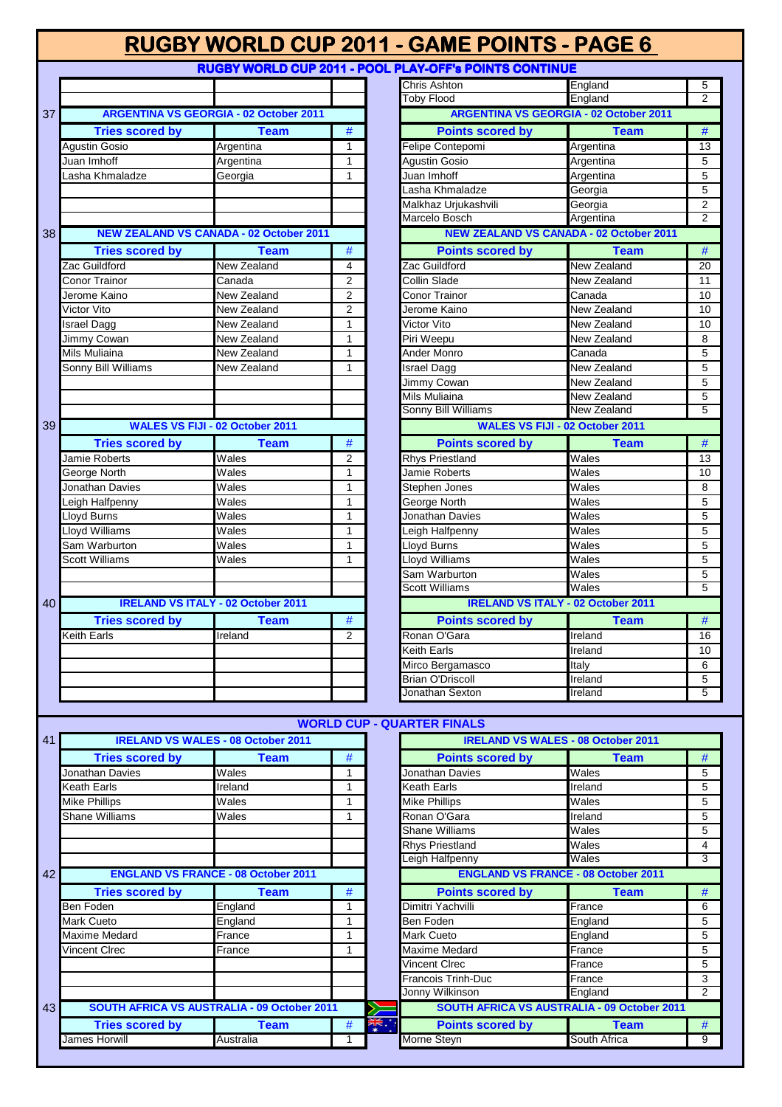| <b>RUGBY WORLD CUP 2011 - GAME POINTS - PAGE 6</b> |  |                                                               |                |
|----------------------------------------------------|--|---------------------------------------------------------------|----------------|
|                                                    |  | <b>RUGBY WORLD CUP 2011 - POOL PLAY-OFF's POINTS CONTINUE</b> |                |
|                                                    |  | <b>Chris Ashton</b>                                           | <b>England</b> |
|                                                    |  |                                                               |                |

|                 |                        |                                                |                | RUGBY WORLD CUP 2011 - GAME POINTS - PAGE 6            |                                                |                 |
|-----------------|------------------------|------------------------------------------------|----------------|--------------------------------------------------------|------------------------------------------------|-----------------|
|                 |                        |                                                |                | RUGBY WORLD CUP 2011 - POOL PLAY-OFF's POINTS CONTINUE |                                                |                 |
|                 |                        |                                                |                | Chris Ashton                                           | England                                        | 5               |
|                 |                        |                                                |                | <b>Toby Flood</b>                                      | England                                        | $\overline{2}$  |
| 37              |                        | <b>ARGENTINA VS GEORGIA - 02 October 2011</b>  |                |                                                        | <b>ARGENTINA VS GEORGIA - 02 October 2011</b>  |                 |
|                 | <b>Tries scored by</b> | <b>Team</b>                                    | #              | <b>Points scored by</b>                                | <b>Team</b>                                    | $\#$            |
|                 | Agustin Gosio          | Argentina                                      | $\mathbf{1}$   | Felipe Contepomi                                       | Argentina                                      | 13              |
|                 | Juan Imhoff            | Argentina                                      | $\mathbf{1}$   | Agustin Gosio                                          | Argentina                                      | $\overline{5}$  |
|                 | asha Khmaladze         | Georgia                                        | $\mathbf{1}$   | Juan Imhoff                                            | Argentina                                      | $\overline{5}$  |
|                 |                        |                                                |                | Lasha Khmaladze                                        | Georgia                                        | $\overline{5}$  |
|                 |                        |                                                |                | Malkhaz Urjukashvili                                   | Georgia                                        | $\overline{2}$  |
|                 |                        |                                                |                | Marcelo Bosch                                          | Argentina                                      | $\overline{2}$  |
| 38 <sup>1</sup> |                        | <b>NEW ZEALAND VS CANADA - 02 October 2011</b> |                |                                                        | <b>NEW ZEALAND VS CANADA - 02 October 2011</b> |                 |
|                 | <b>Tries scored by</b> | <b>Team</b>                                    | $\#$           | <b>Points scored by</b>                                | <b>Team</b>                                    | $\#$            |
|                 | Zac Guildford          | New Zealand                                    | 4              | Zac Guildford                                          | New Zealand                                    | 20              |
|                 | Conor Trainor          | Canada                                         | $\overline{2}$ | Collin Slade                                           | New Zealand                                    | 11              |
|                 | Jerome Kaino           | New Zealand                                    | 2              | <b>Conor Trainor</b>                                   | Canada                                         | 10              |
|                 | Victor Vito            | New Zealand                                    | $\overline{2}$ | Jerome Kaino                                           | New Zealand                                    | 10              |
|                 | <b>Israel Dagg</b>     | New Zealand                                    | 1              | Victor Vito                                            | New Zealand                                    | 10              |
|                 | Jimmy Cowan            | New Zealand                                    | $\mathbf{1}$   | Piri Weepu                                             | New Zealand                                    | $\overline{8}$  |
|                 | Mils Muliaina          | New Zealand                                    | $\mathbf{1}$   | Ander Monro                                            | Canada                                         | 5               |
|                 | Sonny Bill Williams    | New Zealand                                    | 1              | Israel Dagg                                            | New Zealand                                    | $\overline{5}$  |
|                 |                        |                                                |                | Jimmy Cowan                                            | New Zealand                                    | $\overline{5}$  |
|                 |                        |                                                |                | Mils Muliaina                                          | New Zealand                                    | $\overline{5}$  |
|                 |                        |                                                |                | Sonny Bill Williams                                    | New Zealand                                    | $\overline{5}$  |
| 39              |                        | <b>WALES VS FIJI - 02 October 2011</b>         |                |                                                        | <b>WALES VS FIJI - 02 October 2011</b>         |                 |
|                 | <b>Tries scored by</b> | <b>Team</b>                                    | #              | <b>Points scored by</b>                                | <b>Team</b>                                    | $\#$            |
|                 | Jamie Roberts          | Wales                                          | $\overline{2}$ | <b>Rhys Priestland</b>                                 | Wales                                          | $\overline{13}$ |
|                 | George North           | Wales                                          | $\mathbf{1}$   | Jamie Roberts                                          | Wales                                          | 10              |
|                 | Jonathan Davies        | $\overline{\mathsf{W}}$ ales                   | $\mathbf{1}$   | Stephen Jones                                          | $\overline{\mathsf{W}}$ ales                   | 8               |
|                 | Leigh Halfpenny        | Wales                                          | 1              | George North                                           | Wales                                          | $\overline{5}$  |
|                 | Lloyd Burns            | Wales                                          | $\mathbf{1}$   | Jonathan Davies                                        | Wales                                          | $\overline{5}$  |
|                 | Lloyd Williams         | Wales                                          | $\mathbf{1}$   | Leigh Halfpenny                                        | Wales                                          | $\overline{5}$  |
|                 | Sam Warburton          | Wales                                          | $\mathbf{1}$   | Lloyd Burns                                            | Wales                                          | $\overline{5}$  |
|                 | <b>Scott Williams</b>  | Wales                                          | $\mathbf{1}$   | <b>Lloyd Williams</b>                                  | Wales                                          | $\overline{5}$  |
|                 |                        |                                                |                | Sam Warburton                                          | Wales                                          | $\overline{5}$  |
|                 |                        |                                                |                | <b>Scott Williams</b>                                  | Wales                                          | $\overline{5}$  |
| 40              |                        | <b>IRELAND VS ITALY - 02 October 2011</b>      |                |                                                        | <b>IRELAND VS ITALY - 02 October 2011</b>      |                 |
|                 | <b>Tries scored by</b> | <b>Team</b>                                    | #              | <b>Points scored by</b>                                | <b>Team</b>                                    | $\#$            |
|                 | Keith Earls            | Ireland                                        | $\mathcal{P}$  | Ronan O'Gara                                           | Ireland                                        | 16              |
|                 |                        |                                                |                | <b>Keith Earls</b>                                     | Ireland                                        | 10              |
|                 |                        |                                                |                | Mirco Bergamasco                                       | Italy                                          | $\,6\,$         |
|                 |                        |                                                |                | <b>Brian O'Driscoll</b>                                | Ireland                                        | $\overline{5}$  |
|                 |                        |                                                |                | Jonathan Sexton                                        | Ireland                                        | $\overline{5}$  |
|                 |                        |                                                |                |                                                        |                                                |                 |

| <b>Toby Flood</b><br>England<br>2<br><b>ARGENTINA VS GEORGIA - 02 October 2011</b><br><b>Points scored by</b><br><b>Team</b><br>#<br>Felipe Contepomi<br>Argentina<br>13<br><b>Agustin Gosio</b><br>Argentina<br>5<br>Juan Imhoff<br>Argentina<br>5<br>5<br>Lasha Khmaladze<br>Georgia<br>Malkhaz Urjukashvili<br>$\overline{2}$<br>Georgia<br>Marcelo Bosch<br>$\overline{2}$<br>Argentina<br><b>NEW ZEALAND VS CANADA - 02 October 2011</b><br>#<br><b>Points scored by</b><br>Team<br>Zac Guildford<br>New Zealand<br>20<br><b>Collin Slade</b><br>New Zealand<br>11<br><b>Conor Trainor</b><br>10<br>Canada<br>Jerome Kaino<br>New Zealand<br>10<br><b>Victor Vito</b><br>New Zealand<br>10<br><b>New Zealand</b><br>Piri Weepu<br>8<br>Ander Monro<br>Canada<br>5<br><b>New Zealand</b><br>5<br><b>Israel Dagg</b><br><b>New Zealand</b><br><b>Jimmy Cowan</b><br>5<br>Mils Muliaina<br>New Zealand<br>5<br>Sonny Bill Williams<br>New Zealand<br>5<br><b>WALES VS FIJI - 02 October 2011</b><br><b>Points scored by</b><br><b>Team</b><br>#<br><b>Rhys Priestland</b><br>Wales<br>13<br>Jamie Roberts<br>Wales<br>10<br>Stephen Jones<br>Wales<br>8<br><b>George North</b><br>5<br>Wales<br><b>Jonathan Davies</b><br>Wales<br>5<br>5<br>Leigh Halfpenny<br>Wales<br>$\overline{5}$<br>Lloyd Burns<br>Wales<br>Lloyd Williams<br>Wales<br>5<br>Sam Warburton<br>Wales<br>5<br>Scott Williams<br>Wales<br>5<br><b>IRELAND VS ITALY - 02 October 2011</b><br><b>Points scored by</b><br>#<br><b>Team</b><br>Ronan O'Gara<br>Ireland<br>16<br><b>Keith Earls</b><br>Ireland<br>10<br>Mirco Bergamasco<br><b>Italy</b><br>6<br><b>Brian O'Driscoll</b><br>5<br>Ireland<br>5<br>Ireland | , , <b>, , , ,</b> , |         |   |  |  |  |  |  |
|------------------------------------------------------------------------------------------------------------------------------------------------------------------------------------------------------------------------------------------------------------------------------------------------------------------------------------------------------------------------------------------------------------------------------------------------------------------------------------------------------------------------------------------------------------------------------------------------------------------------------------------------------------------------------------------------------------------------------------------------------------------------------------------------------------------------------------------------------------------------------------------------------------------------------------------------------------------------------------------------------------------------------------------------------------------------------------------------------------------------------------------------------------------------------------------------------------------------------------------------------------------------------------------------------------------------------------------------------------------------------------------------------------------------------------------------------------------------------------------------------------------------------------------------------------------------------------------------------------------------------------------------------------------------------------------|----------------------|---------|---|--|--|--|--|--|
|                                                                                                                                                                                                                                                                                                                                                                                                                                                                                                                                                                                                                                                                                                                                                                                                                                                                                                                                                                                                                                                                                                                                                                                                                                                                                                                                                                                                                                                                                                                                                                                                                                                                                          | Chris Ashton         | England | 5 |  |  |  |  |  |
|                                                                                                                                                                                                                                                                                                                                                                                                                                                                                                                                                                                                                                                                                                                                                                                                                                                                                                                                                                                                                                                                                                                                                                                                                                                                                                                                                                                                                                                                                                                                                                                                                                                                                          |                      |         |   |  |  |  |  |  |
|                                                                                                                                                                                                                                                                                                                                                                                                                                                                                                                                                                                                                                                                                                                                                                                                                                                                                                                                                                                                                                                                                                                                                                                                                                                                                                                                                                                                                                                                                                                                                                                                                                                                                          |                      |         |   |  |  |  |  |  |
|                                                                                                                                                                                                                                                                                                                                                                                                                                                                                                                                                                                                                                                                                                                                                                                                                                                                                                                                                                                                                                                                                                                                                                                                                                                                                                                                                                                                                                                                                                                                                                                                                                                                                          |                      |         |   |  |  |  |  |  |
|                                                                                                                                                                                                                                                                                                                                                                                                                                                                                                                                                                                                                                                                                                                                                                                                                                                                                                                                                                                                                                                                                                                                                                                                                                                                                                                                                                                                                                                                                                                                                                                                                                                                                          |                      |         |   |  |  |  |  |  |
|                                                                                                                                                                                                                                                                                                                                                                                                                                                                                                                                                                                                                                                                                                                                                                                                                                                                                                                                                                                                                                                                                                                                                                                                                                                                                                                                                                                                                                                                                                                                                                                                                                                                                          |                      |         |   |  |  |  |  |  |
|                                                                                                                                                                                                                                                                                                                                                                                                                                                                                                                                                                                                                                                                                                                                                                                                                                                                                                                                                                                                                                                                                                                                                                                                                                                                                                                                                                                                                                                                                                                                                                                                                                                                                          |                      |         |   |  |  |  |  |  |
|                                                                                                                                                                                                                                                                                                                                                                                                                                                                                                                                                                                                                                                                                                                                                                                                                                                                                                                                                                                                                                                                                                                                                                                                                                                                                                                                                                                                                                                                                                                                                                                                                                                                                          |                      |         |   |  |  |  |  |  |
|                                                                                                                                                                                                                                                                                                                                                                                                                                                                                                                                                                                                                                                                                                                                                                                                                                                                                                                                                                                                                                                                                                                                                                                                                                                                                                                                                                                                                                                                                                                                                                                                                                                                                          |                      |         |   |  |  |  |  |  |
|                                                                                                                                                                                                                                                                                                                                                                                                                                                                                                                                                                                                                                                                                                                                                                                                                                                                                                                                                                                                                                                                                                                                                                                                                                                                                                                                                                                                                                                                                                                                                                                                                                                                                          |                      |         |   |  |  |  |  |  |
|                                                                                                                                                                                                                                                                                                                                                                                                                                                                                                                                                                                                                                                                                                                                                                                                                                                                                                                                                                                                                                                                                                                                                                                                                                                                                                                                                                                                                                                                                                                                                                                                                                                                                          |                      |         |   |  |  |  |  |  |
|                                                                                                                                                                                                                                                                                                                                                                                                                                                                                                                                                                                                                                                                                                                                                                                                                                                                                                                                                                                                                                                                                                                                                                                                                                                                                                                                                                                                                                                                                                                                                                                                                                                                                          |                      |         |   |  |  |  |  |  |
|                                                                                                                                                                                                                                                                                                                                                                                                                                                                                                                                                                                                                                                                                                                                                                                                                                                                                                                                                                                                                                                                                                                                                                                                                                                                                                                                                                                                                                                                                                                                                                                                                                                                                          |                      |         |   |  |  |  |  |  |
|                                                                                                                                                                                                                                                                                                                                                                                                                                                                                                                                                                                                                                                                                                                                                                                                                                                                                                                                                                                                                                                                                                                                                                                                                                                                                                                                                                                                                                                                                                                                                                                                                                                                                          |                      |         |   |  |  |  |  |  |
|                                                                                                                                                                                                                                                                                                                                                                                                                                                                                                                                                                                                                                                                                                                                                                                                                                                                                                                                                                                                                                                                                                                                                                                                                                                                                                                                                                                                                                                                                                                                                                                                                                                                                          |                      |         |   |  |  |  |  |  |
|                                                                                                                                                                                                                                                                                                                                                                                                                                                                                                                                                                                                                                                                                                                                                                                                                                                                                                                                                                                                                                                                                                                                                                                                                                                                                                                                                                                                                                                                                                                                                                                                                                                                                          |                      |         |   |  |  |  |  |  |
|                                                                                                                                                                                                                                                                                                                                                                                                                                                                                                                                                                                                                                                                                                                                                                                                                                                                                                                                                                                                                                                                                                                                                                                                                                                                                                                                                                                                                                                                                                                                                                                                                                                                                          |                      |         |   |  |  |  |  |  |
|                                                                                                                                                                                                                                                                                                                                                                                                                                                                                                                                                                                                                                                                                                                                                                                                                                                                                                                                                                                                                                                                                                                                                                                                                                                                                                                                                                                                                                                                                                                                                                                                                                                                                          |                      |         |   |  |  |  |  |  |
|                                                                                                                                                                                                                                                                                                                                                                                                                                                                                                                                                                                                                                                                                                                                                                                                                                                                                                                                                                                                                                                                                                                                                                                                                                                                                                                                                                                                                                                                                                                                                                                                                                                                                          |                      |         |   |  |  |  |  |  |
|                                                                                                                                                                                                                                                                                                                                                                                                                                                                                                                                                                                                                                                                                                                                                                                                                                                                                                                                                                                                                                                                                                                                                                                                                                                                                                                                                                                                                                                                                                                                                                                                                                                                                          |                      |         |   |  |  |  |  |  |
|                                                                                                                                                                                                                                                                                                                                                                                                                                                                                                                                                                                                                                                                                                                                                                                                                                                                                                                                                                                                                                                                                                                                                                                                                                                                                                                                                                                                                                                                                                                                                                                                                                                                                          |                      |         |   |  |  |  |  |  |
|                                                                                                                                                                                                                                                                                                                                                                                                                                                                                                                                                                                                                                                                                                                                                                                                                                                                                                                                                                                                                                                                                                                                                                                                                                                                                                                                                                                                                                                                                                                                                                                                                                                                                          |                      |         |   |  |  |  |  |  |
|                                                                                                                                                                                                                                                                                                                                                                                                                                                                                                                                                                                                                                                                                                                                                                                                                                                                                                                                                                                                                                                                                                                                                                                                                                                                                                                                                                                                                                                                                                                                                                                                                                                                                          |                      |         |   |  |  |  |  |  |
|                                                                                                                                                                                                                                                                                                                                                                                                                                                                                                                                                                                                                                                                                                                                                                                                                                                                                                                                                                                                                                                                                                                                                                                                                                                                                                                                                                                                                                                                                                                                                                                                                                                                                          |                      |         |   |  |  |  |  |  |
|                                                                                                                                                                                                                                                                                                                                                                                                                                                                                                                                                                                                                                                                                                                                                                                                                                                                                                                                                                                                                                                                                                                                                                                                                                                                                                                                                                                                                                                                                                                                                                                                                                                                                          |                      |         |   |  |  |  |  |  |
|                                                                                                                                                                                                                                                                                                                                                                                                                                                                                                                                                                                                                                                                                                                                                                                                                                                                                                                                                                                                                                                                                                                                                                                                                                                                                                                                                                                                                                                                                                                                                                                                                                                                                          |                      |         |   |  |  |  |  |  |
|                                                                                                                                                                                                                                                                                                                                                                                                                                                                                                                                                                                                                                                                                                                                                                                                                                                                                                                                                                                                                                                                                                                                                                                                                                                                                                                                                                                                                                                                                                                                                                                                                                                                                          |                      |         |   |  |  |  |  |  |
|                                                                                                                                                                                                                                                                                                                                                                                                                                                                                                                                                                                                                                                                                                                                                                                                                                                                                                                                                                                                                                                                                                                                                                                                                                                                                                                                                                                                                                                                                                                                                                                                                                                                                          |                      |         |   |  |  |  |  |  |
|                                                                                                                                                                                                                                                                                                                                                                                                                                                                                                                                                                                                                                                                                                                                                                                                                                                                                                                                                                                                                                                                                                                                                                                                                                                                                                                                                                                                                                                                                                                                                                                                                                                                                          |                      |         |   |  |  |  |  |  |
|                                                                                                                                                                                                                                                                                                                                                                                                                                                                                                                                                                                                                                                                                                                                                                                                                                                                                                                                                                                                                                                                                                                                                                                                                                                                                                                                                                                                                                                                                                                                                                                                                                                                                          |                      |         |   |  |  |  |  |  |
|                                                                                                                                                                                                                                                                                                                                                                                                                                                                                                                                                                                                                                                                                                                                                                                                                                                                                                                                                                                                                                                                                                                                                                                                                                                                                                                                                                                                                                                                                                                                                                                                                                                                                          |                      |         |   |  |  |  |  |  |
|                                                                                                                                                                                                                                                                                                                                                                                                                                                                                                                                                                                                                                                                                                                                                                                                                                                                                                                                                                                                                                                                                                                                                                                                                                                                                                                                                                                                                                                                                                                                                                                                                                                                                          |                      |         |   |  |  |  |  |  |
|                                                                                                                                                                                                                                                                                                                                                                                                                                                                                                                                                                                                                                                                                                                                                                                                                                                                                                                                                                                                                                                                                                                                                                                                                                                                                                                                                                                                                                                                                                                                                                                                                                                                                          |                      |         |   |  |  |  |  |  |
|                                                                                                                                                                                                                                                                                                                                                                                                                                                                                                                                                                                                                                                                                                                                                                                                                                                                                                                                                                                                                                                                                                                                                                                                                                                                                                                                                                                                                                                                                                                                                                                                                                                                                          |                      |         |   |  |  |  |  |  |
|                                                                                                                                                                                                                                                                                                                                                                                                                                                                                                                                                                                                                                                                                                                                                                                                                                                                                                                                                                                                                                                                                                                                                                                                                                                                                                                                                                                                                                                                                                                                                                                                                                                                                          |                      |         |   |  |  |  |  |  |
|                                                                                                                                                                                                                                                                                                                                                                                                                                                                                                                                                                                                                                                                                                                                                                                                                                                                                                                                                                                                                                                                                                                                                                                                                                                                                                                                                                                                                                                                                                                                                                                                                                                                                          |                      |         |   |  |  |  |  |  |
|                                                                                                                                                                                                                                                                                                                                                                                                                                                                                                                                                                                                                                                                                                                                                                                                                                                                                                                                                                                                                                                                                                                                                                                                                                                                                                                                                                                                                                                                                                                                                                                                                                                                                          |                      |         |   |  |  |  |  |  |
|                                                                                                                                                                                                                                                                                                                                                                                                                                                                                                                                                                                                                                                                                                                                                                                                                                                                                                                                                                                                                                                                                                                                                                                                                                                                                                                                                                                                                                                                                                                                                                                                                                                                                          |                      |         |   |  |  |  |  |  |
|                                                                                                                                                                                                                                                                                                                                                                                                                                                                                                                                                                                                                                                                                                                                                                                                                                                                                                                                                                                                                                                                                                                                                                                                                                                                                                                                                                                                                                                                                                                                                                                                                                                                                          |                      |         |   |  |  |  |  |  |
|                                                                                                                                                                                                                                                                                                                                                                                                                                                                                                                                                                                                                                                                                                                                                                                                                                                                                                                                                                                                                                                                                                                                                                                                                                                                                                                                                                                                                                                                                                                                                                                                                                                                                          |                      |         |   |  |  |  |  |  |
|                                                                                                                                                                                                                                                                                                                                                                                                                                                                                                                                                                                                                                                                                                                                                                                                                                                                                                                                                                                                                                                                                                                                                                                                                                                                                                                                                                                                                                                                                                                                                                                                                                                                                          |                      |         |   |  |  |  |  |  |
|                                                                                                                                                                                                                                                                                                                                                                                                                                                                                                                                                                                                                                                                                                                                                                                                                                                                                                                                                                                                                                                                                                                                                                                                                                                                                                                                                                                                                                                                                                                                                                                                                                                                                          | Jonathan Sexton      |         |   |  |  |  |  |  |

|    | <b>WORLD CUP - QUARTER FINALS</b>           |                                            |   |             |                                                    |              |                |  |  |
|----|---------------------------------------------|--------------------------------------------|---|-------------|----------------------------------------------------|--------------|----------------|--|--|
| 41 |                                             | <b>IRELAND VS WALES - 08 October 2011</b>  |   |             | <b>IRELAND VS WALES - 08 October 2011</b>          |              |                |  |  |
|    | <b>Tries scored by</b>                      | Team                                       | # |             | <b>Points scored by</b>                            | Team         | #              |  |  |
|    | Jonathan Davies                             | Wales                                      |   |             | Jonathan Davies                                    | Wales        | 5              |  |  |
|    | Keath Earls                                 | Ireland                                    |   |             | Keath Earls                                        | Ireland      | 5              |  |  |
|    | <b>Mike Phillips</b>                        | Wales                                      | 1 |             | <b>Mike Phillips</b>                               | Wales        | 5              |  |  |
|    | Shane Williams                              | Wales                                      |   |             | Ronan O'Gara                                       | Ireland      | 5              |  |  |
|    |                                             |                                            |   |             | <b>Shane Williams</b>                              | Wales        | 5              |  |  |
|    |                                             |                                            |   |             | <b>Rhys Priestland</b>                             | Wales        | 4              |  |  |
|    |                                             |                                            |   |             | eigh Halfpenny                                     | Wales        | 3              |  |  |
| 42 |                                             | <b>ENGLAND VS FRANCE - 08 October 2011</b> |   |             | <b>ENGLAND VS FRANCE - 08 October 2011</b>         |              |                |  |  |
|    | <b>Tries scored by</b>                      | <b>Team</b>                                | # |             | <b>Points scored by</b>                            | <b>Team</b>  | #              |  |  |
|    | Ben Foden                                   | England                                    | 1 |             | Dimitri Yachvilli                                  | France       | 6              |  |  |
|    | Mark Cueto                                  | England                                    | 1 |             | Ben Foden                                          | England      | 5              |  |  |
|    | Maxime Medard                               | France                                     | 1 |             | <b>Mark Cueto</b>                                  | England      | 5              |  |  |
|    | Vincent CIrec                               | France                                     | 1 |             | Maxime Medard                                      | France       | 5              |  |  |
|    |                                             |                                            |   |             | <b>Vincent CIrec</b>                               | France       | 5              |  |  |
|    |                                             |                                            |   |             | <b>Francois Trinh-Duc</b>                          | France       | 3              |  |  |
|    |                                             |                                            |   |             | Jonny Wilkinson                                    | England      | $\overline{2}$ |  |  |
| 43 | SOUTH AFRICA VS AUSTRALIA - 09 October 2011 |                                            |   |             | <b>SOUTH AFRICA VS AUSTRALIA - 09 October 2011</b> |              |                |  |  |
|    | <b>Tries scored by</b>                      | Team                                       | # | ∴<br>≱<br>⊼ | <b>Points scored by</b>                            | <b>Team</b>  | #              |  |  |
|    | James Horwill                               | Australia                                  |   |             | Morne Steyn                                        | South Africa | 9              |  |  |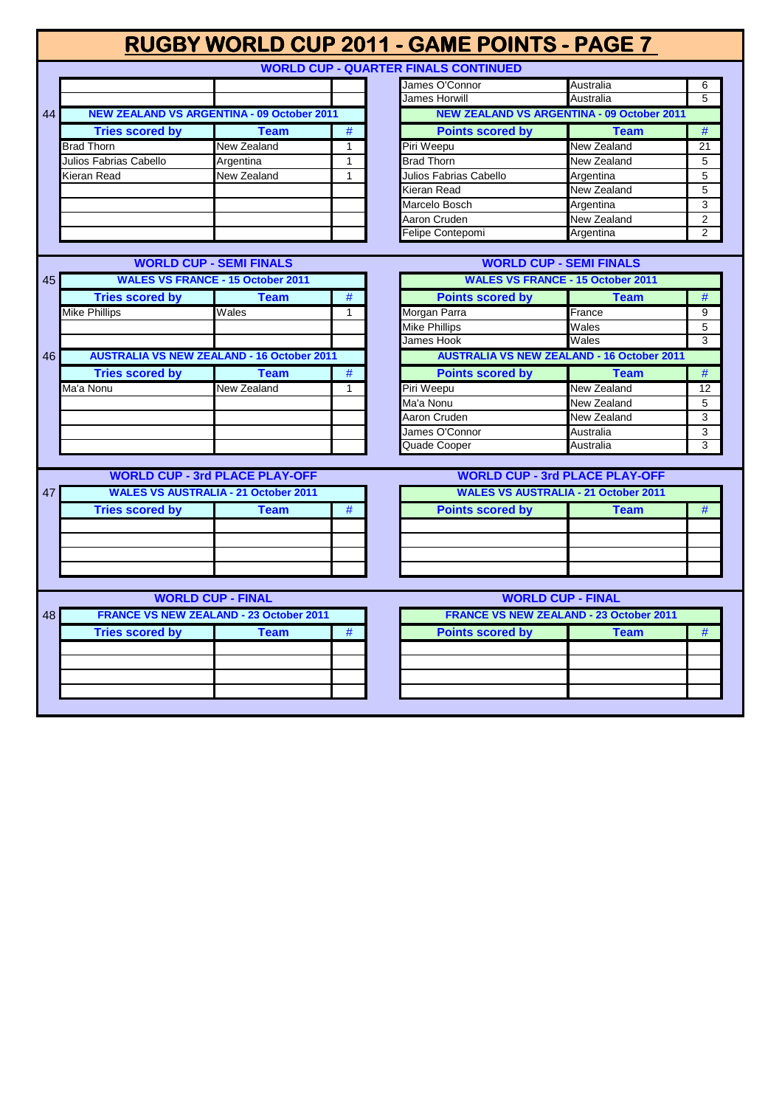|    |                        |                                                   |              | RUGBY WORLD CUP 2011 - GAME POINTS - PAGE 7 |                                                   |                |
|----|------------------------|---------------------------------------------------|--------------|---------------------------------------------|---------------------------------------------------|----------------|
|    |                        |                                                   |              | <b>WORLD CUP - QUARTER FINALS CONTINUED</b> |                                                   |                |
|    |                        |                                                   |              | James O'Connor                              | Australia                                         | 6              |
|    |                        |                                                   |              | James Horwill                               | Australia                                         | 5              |
| 44 |                        | <b>NEW ZEALAND VS ARGENTINA - 09 October 2011</b> |              |                                             | <b>NEW ZEALAND VS ARGENTINA - 09 October 2011</b> |                |
|    | <b>Tries scored by</b> | <b>Team</b>                                       | $\#$         | <b>Points scored by</b>                     | <b>Team</b>                                       | #              |
|    | <b>Brad Thorn</b>      | <b>New Zealand</b>                                | $\mathbf{1}$ | Piri Weepu                                  | New Zealand                                       | 21             |
|    | Julios Fabrias Cabello | Argentina                                         | $\mathbf{1}$ | <b>Brad Thorn</b>                           | New Zealand                                       | 5              |
|    | Kieran Read            | New Zealand                                       | $\mathbf{1}$ | Julios Fabrias Cabello                      | Argentina                                         | 5              |
|    |                        |                                                   |              | Kieran Read                                 | New Zealand                                       | 5              |
|    |                        |                                                   |              | Marcelo Bosch                               | Argentina                                         | 3              |
|    |                        |                                                   |              | Aaron Cruden                                | New Zealand                                       | $\overline{2}$ |
|    |                        |                                                   |              | Felipe Contepomi                            | Argentina                                         | $\overline{2}$ |
|    |                        |                                                   |              |                                             |                                                   |                |
|    |                        | <b>WORLD CUP - SEMI FINALS</b>                    |              |                                             | <b>WORLD CUP - SEMI FINALS</b>                    |                |
| 45 |                        | <b>WALES VS FRANCE - 15 October 2011</b>          |              |                                             | <b>WALES VS FRANCE - 15 October 2011</b>          |                |
|    | <b>Tries scored by</b> | <b>Team</b>                                       | #            | <b>Points scored by</b>                     | <b>Team</b>                                       | $\#$           |
|    | Mike Phillips          | Wales                                             | $\mathbf{1}$ | Morgan Parra                                | France                                            | 9              |
|    |                        |                                                   |              | <b>Mike Phillips</b>                        | Wales                                             | 5              |
|    |                        |                                                   |              | James Hook                                  | Wales                                             | $\overline{3}$ |
| 46 |                        | <b>AUSTRALIA VS NEW ZEALAND - 16 October 2011</b> |              |                                             | <b>AUSTRALIA VS NEW ZEALAND - 16 October 2011</b> |                |
|    | <b>Tries scored by</b> | <b>Team</b>                                       | #            | <b>Points scored by</b>                     | <b>Team</b>                                       | #              |
|    | Ma'a Nonu              | New Zealand                                       | $\mathbf{1}$ | Piri Weepu                                  | New Zealand                                       | 12             |
|    |                        |                                                   |              | Ma'a Nonu                                   | New Zealand                                       | 5              |
|    |                        |                                                   |              | Aaron Cruden                                | New Zealand                                       | 3              |
|    |                        |                                                   |              | James O'Connor                              | Australia                                         | 3              |
|    |                        |                                                   |              | Quade Cooper                                | Australia                                         | 3              |
|    |                        |                                                   |              |                                             |                                                   |                |
|    |                        | <b>WORLD CUP - 3rd PLACE PLAY-OFF</b>             |              |                                             | <b>WORLD CUP - 3rd PLACE PLAY-OFF</b>             |                |
| 47 |                        | <b>WALES VS AUSTRALIA - 21 October 2011</b>       |              |                                             | <b>WALES VS AUSTRALIA - 21 October 2011</b>       |                |
|    | <b>Tries scored by</b> | <b>Team</b>                                       | #            | <b>Points scored by</b>                     | Team                                              | #              |
|    |                        |                                                   |              |                                             |                                                   |                |
|    |                        |                                                   |              |                                             |                                                   |                |
|    |                        |                                                   |              |                                             |                                                   |                |
|    |                        |                                                   |              |                                             |                                                   |                |
|    |                        |                                                   |              |                                             |                                                   |                |
|    |                        | <b>WORLD CUP - FINAL</b>                          |              |                                             | <b>WORLD CUP - FINAL</b>                          |                |
| 48 |                        | <b>FRANCE VS NEW ZEALAND - 23 October 2011</b>    |              |                                             | <b>FRANCE VS NEW ZEALAND - 23 October 2011</b>    |                |
|    | <b>Tries scored by</b> | <b>Team</b>                                       | $\#$         | <b>Points scored by</b>                     | <b>Team</b>                                       | $\#$           |
|    |                        |                                                   |              |                                             |                                                   |                |
|    |                        |                                                   |              |                                             |                                                   |                |
|    |                        |                                                   |              |                                             |                                                   |                |
|    |                        |                                                   |              |                                             |                                                   |                |